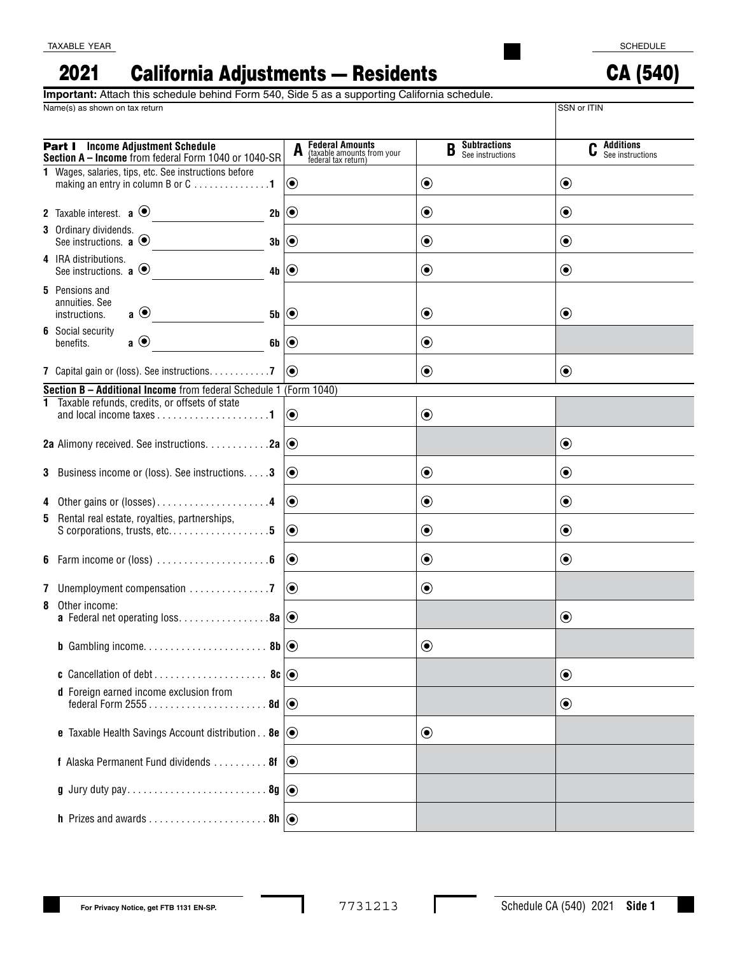CA (540)

#### California Adjustments — Residents 2021

Name(s) as shown on tax return SSN or ITIN **Important:** Attach this schedule behind Form 540, Side 5 as a supporting California schedule.

| <b>Part I</b> Income Adjustment Schedule<br>Section A - Income from federal Form 1040 or 1040-SR | <b>Federal Amounts</b><br>(taxable amounts from your<br>federal tax return) | <b>Subtractions</b><br>B<br>See instructions | Additions<br>See instructions |
|--------------------------------------------------------------------------------------------------|-----------------------------------------------------------------------------|----------------------------------------------|-------------------------------|
| 1 Wages, salaries, tips, etc. See instructions before<br>making an entry in column B or C 1      | $ \mathbf{O} $                                                              | $\textcolor{blue}{\bullet}$                  | $\odot$                       |
| 2 Taxable interest. $\mathbf{a} \odot$<br>2b $\odot$                                             |                                                                             | $\boldsymbol{\odot}$                         | $\odot$                       |
| 3 Ordinary dividends.<br>See instructions. $\mathbf{a} \odot$<br>$3b$ $\odot$                    |                                                                             | $\textcolor{blue}{\bullet}$                  | $\odot$                       |
| 4 IRA distributions.<br>See instructions. $\mathbf{a} \odot$<br>4b $  \odot$                     |                                                                             | $\textcolor{blue}{\bullet}$                  | $\odot$                       |
| <b>5</b> Pensions and<br>annuities. See<br>$\mathbf{a} \odot$<br>instructions.<br>$5b \mid Q$    |                                                                             | ◉                                            | $\odot$                       |
| <b>6</b> Social security<br>$\mathbf{a} \odot$<br>6b $\odot$<br>benefits.                        |                                                                             | $\textcolor{blue}{\bullet}$                  |                               |
| 7 Capital gain or (loss). See instructions. 7                                                    | $ (\bullet) $                                                               | $\textcolor{blue}{\bullet}$                  | $\odot$                       |
| Section B - Additional Income from federal Schedule 1 (Form 1040)                                |                                                                             |                                              |                               |
| 1 Taxable refunds, credits, or offsets of state                                                  | $ \mathbf{O} $                                                              | $\textcolor{blue}{\bullet}$                  |                               |
| 2a Alimony received. See instructions. $\dots \dots \dots 2a$ $\odot$                            |                                                                             |                                              | $\odot$                       |
| <b>3</b> Business income or (loss). See instructions. <b>3</b>                                   | $ 0\rangle$                                                                 | $\textcolor{blue}{\bullet}$                  | $\odot$                       |
| 4 Other gains or (losses)4                                                                       | $  \odot$                                                                   | $\boldsymbol{\odot}$                         | $\odot$                       |
| 5 Rental real estate, royalties, partnerships,<br>S corporations, trusts, etc5                   | $  \odot$                                                                   | $\boldsymbol{\odot}$                         | $\odot$                       |
|                                                                                                  | $  \textcolor{teal}{\bullet}$                                               | $\boldsymbol{\odot}$                         | $\odot$                       |
|                                                                                                  | $  \odot$                                                                   | $\boldsymbol{\odot}$                         |                               |
| 8 Other income:<br><b>a</b> Federal net operating loss8a $\circledcirc$                          |                                                                             |                                              | $\odot$                       |
|                                                                                                  |                                                                             | $\boldsymbol{\odot}$                         |                               |
|                                                                                                  |                                                                             |                                              | $\odot$                       |
| d Foreign earned income exclusion from                                                           |                                                                             |                                              | $\odot$                       |
| <b>e</b> Taxable Health Savings Account distribution. . <b>8e</b> $\odot$                        |                                                                             | $\textcolor{blue}{\bullet}$                  |                               |
| <b>f</b> Alaska Permanent Fund dividends $\dots \dots \dots$ 8f $\odot$                          |                                                                             |                                              |                               |
|                                                                                                  |                                                                             |                                              |                               |
|                                                                                                  |                                                                             |                                              |                               |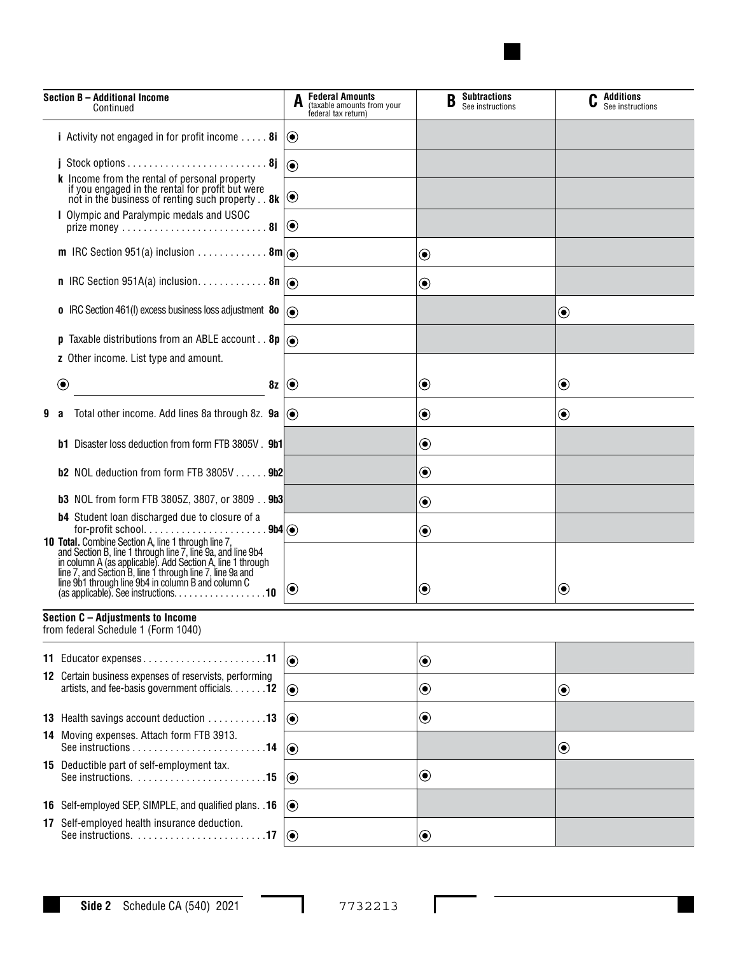

| Section B - Additional Income<br>Continued |                                                                                                                                                                                                                                                                                                                                                    | <b>Federal Amounts</b><br>(taxable amounts from your<br>federal tax return) | <b>Subtractions</b><br>B<br>See instructions | $\mathbf{C}$ Additions<br>See instructions |  |
|--------------------------------------------|----------------------------------------------------------------------------------------------------------------------------------------------------------------------------------------------------------------------------------------------------------------------------------------------------------------------------------------------------|-----------------------------------------------------------------------------|----------------------------------------------|--------------------------------------------|--|
|                                            | <i>i</i> Activity not engaged in for profit income $\dots$ 8i $\circledcirc$                                                                                                                                                                                                                                                                       |                                                                             |                                              |                                            |  |
|                                            |                                                                                                                                                                                                                                                                                                                                                    | $  \odot$                                                                   |                                              |                                            |  |
|                                            | k Income from the rental of personal property<br>if you engaged in the rental for profit but were<br>not in the business of renting such property. . 8k                                                                                                                                                                                            | $ \mathbf{O} $                                                              |                                              |                                            |  |
|                                            | I Olympic and Paralympic medals and USOC                                                                                                                                                                                                                                                                                                           |                                                                             |                                              |                                            |  |
|                                            |                                                                                                                                                                                                                                                                                                                                                    |                                                                             | $\textcolor{blue}{\bullet}$                  |                                            |  |
|                                            |                                                                                                                                                                                                                                                                                                                                                    |                                                                             | $\textcolor{blue}{\bullet}$                  |                                            |  |
|                                            | <b>o</b> IRC Section 461(I) excess business loss adjustment 80 $\overline{)}$                                                                                                                                                                                                                                                                      |                                                                             |                                              | $\textcolor{blue}{\bullet}$                |  |
|                                            | <b>p</b> Taxable distributions from an ABLE account <b>8p</b> $\left  \right\rangle$                                                                                                                                                                                                                                                               |                                                                             |                                              |                                            |  |
|                                            | z Other income. List type and amount.                                                                                                                                                                                                                                                                                                              |                                                                             |                                              |                                            |  |
|                                            | $\bf \odot$<br>8z(                                                                                                                                                                                                                                                                                                                                 |                                                                             | $\textcolor{blue}{\bullet}$                  | $\textcolor{blue}{\bullet}$                |  |
| 9                                          | Total other income. Add lines 8a through 8z. <b>9a</b> $\circledcirc$<br>a                                                                                                                                                                                                                                                                         |                                                                             | $\boldsymbol{\odot}$                         | $\boldsymbol{\odot}$                       |  |
|                                            | <b>b1</b> Disaster loss deduction from form FTB 3805V . 9b1                                                                                                                                                                                                                                                                                        |                                                                             | $\boldsymbol{\odot}$                         |                                            |  |
|                                            | <b>b2</b> NOL deduction from form FTB $3805V$ $9b2$                                                                                                                                                                                                                                                                                                |                                                                             | $\textcolor{blue}{\bullet}$                  |                                            |  |
|                                            | <b>b3</b> NOL from form FTB 3805Z, 3807, or 3809 9b3                                                                                                                                                                                                                                                                                               |                                                                             | $\boldsymbol{\odot}$                         |                                            |  |
|                                            | <b>b4</b> Student loan discharged due to closure of a<br>for-profit school<br>9b4()                                                                                                                                                                                                                                                                |                                                                             | $\boldsymbol{\odot}$                         |                                            |  |
|                                            | <b>10 Total.</b> Combine Section A, line 1 through line 7, and Section B, line 1 through line 7, line 9a, and line 9b4<br>in column A (as applicable). Add Section A, line 1 through<br>line 7, and Section B, line 1 through line 7, line 9a and<br>line 9b1 through line 9b4 in column B and column C<br>$(as applicable). See instructions. 10$ | $ {\bf 0}\>$                                                                | $\boldsymbol{\odot}$                         | ◉                                          |  |
|                                            | Section C - Adjustments to Income<br>from federal Schedule 1 (Form 1040)                                                                                                                                                                                                                                                                           |                                                                             |                                              |                                            |  |
|                                            | 11 Educator expenses11                                                                                                                                                                                                                                                                                                                             | $ _{\odot}$                                                                 | $\bf \odot$                                  |                                            |  |
|                                            | 12 Certain business expenses of reservists, performing<br>artists, and fee-basis government officials. 12                                                                                                                                                                                                                                          | $  \textcolor{teal}{\bullet}$                                               | $\bf \odot$                                  | $\textcolor{blue}{\bullet}$                |  |
|                                            | 13 Health savings account deduction 13                                                                                                                                                                                                                                                                                                             | $  \textcolor{teal}{\bullet}$                                               | $\bf \odot$                                  |                                            |  |
|                                            | 14 Moving expenses. Attach form FTB 3913.                                                                                                                                                                                                                                                                                                          | $ _{\textcircled{\small 0}}$                                                |                                              | $\textcolor{blue}{\bullet}$                |  |
|                                            | 15 Deductible part of self-employment tax.                                                                                                                                                                                                                                                                                                         | $ \mathbf{O} $                                                              | $\bf \odot$                                  |                                            |  |
|                                            | 16 Self-employed SEP, SIMPLE, and qualified plans. . 16                                                                                                                                                                                                                                                                                            | $  \textcolor{teal}{\bullet}$                                               |                                              |                                            |  |
|                                            | 17 Self-employed health insurance deduction.<br>See instructions. 17                                                                                                                                                                                                                                                                               | $  \odot$                                                                   | $\boldsymbol{\odot}$                         |                                            |  |

I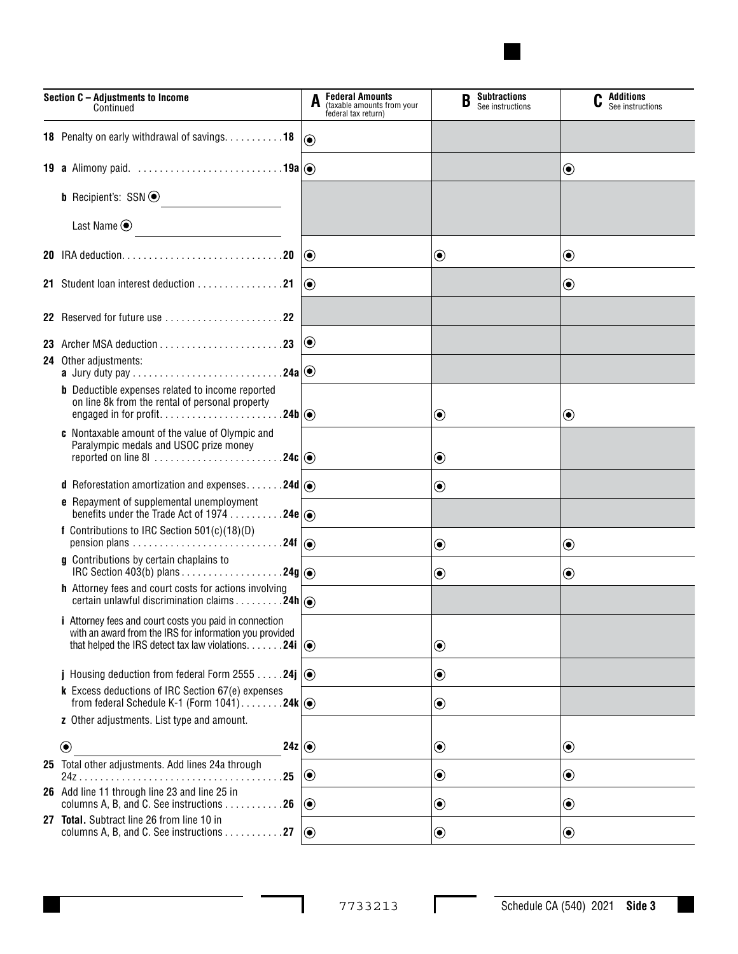

| Section C - Adjustments to Income<br>Continued                                                                                                                                                       | A                | <b>Federal Amounts</b><br>(taxable amounts from your<br>federal tax return) | <b>Subtractions</b><br>B<br>See instructions | Additions<br>See instructions |
|------------------------------------------------------------------------------------------------------------------------------------------------------------------------------------------------------|------------------|-----------------------------------------------------------------------------|----------------------------------------------|-------------------------------|
| 18 Penalty on early withdrawal of savings. 18                                                                                                                                                        | $\odot$          |                                                                             |                                              |                               |
| <b>19 a</b> Alimony paid. $\ldots \ldots \ldots \ldots \ldots \ldots \ldots \ldots \ldots$ 19a $  \circledcirc \rangle$                                                                              |                  |                                                                             |                                              | $\textcolor{blue}{\bullet}$   |
| <b>b</b> Recipient's: $SSN$ $\odot$                                                                                                                                                                  |                  |                                                                             |                                              |                               |
| Last Name $\odot$<br>$\overline{\phantom{a}}$                                                                                                                                                        |                  |                                                                             |                                              |                               |
|                                                                                                                                                                                                      | $\odot$          |                                                                             | $\textcolor{blue}{\bullet}$                  | $\bf \odot$                   |
|                                                                                                                                                                                                      | $\circledbullet$ |                                                                             |                                              | $\textcolor{blue}{\bullet}$   |
|                                                                                                                                                                                                      |                  |                                                                             |                                              |                               |
| 23 Archer MSA deduction $\ldots \ldots \ldots \ldots \ldots \ldots$                                                                                                                                  | $\bf{O}$         |                                                                             |                                              |                               |
| <b>24</b> Other adjustments:                                                                                                                                                                         |                  |                                                                             |                                              |                               |
| <b>b</b> Deductible expenses related to income reported<br>on line 8k from the rental of personal property                                                                                           |                  |                                                                             | ◉                                            | $\textcolor{blue}{\bullet}$   |
| c Nontaxable amount of the value of Olympic and<br>Paralympic medals and USOC prize money                                                                                                            |                  |                                                                             | $\boldsymbol{\odot}$                         |                               |
| <b>d</b> Reforestation amortization and expenses24d $ $ $\odot$                                                                                                                                      |                  |                                                                             | $\textcolor{blue}{\bullet}$                  |                               |
| <b>e</b> Repayment of supplemental unemployment<br>benefits under the Trade Act of 1974 24e $ $ $\odot$                                                                                              |                  |                                                                             |                                              |                               |
| f Contributions to IRC Section 501(c)(18)(D)                                                                                                                                                         |                  |                                                                             | $\textcolor{blue}{\bullet}$                  | $\bf \odot$                   |
| g Contributions by certain chaplains to                                                                                                                                                              |                  |                                                                             | $\boldsymbol{\odot}$                         | $\boldsymbol{\odot}$          |
| h Attorney fees and court costs for actions involving<br>certain unlawful discrimination claims 24h (                                                                                                |                  |                                                                             |                                              |                               |
| <i>i</i> Attorney fees and court costs you paid in connection<br>with an award from the IRS for information you provided<br>that helped the IRS detect tax law violations. $\dots \dots 24i$ $\odot$ |                  |                                                                             | $\bf \odot$                                  |                               |
| j Housing deduction from federal Form 2555 24j $\ket{\odot}$                                                                                                                                         |                  |                                                                             | $\bf \odot$                                  |                               |
| k Excess deductions of IRC Section 67(e) expenses<br>from federal Schedule K-1 (Form $1041)$ 24k $  \odot$                                                                                           |                  |                                                                             | $\textcolor{blue}{\bullet}$                  |                               |
| z Other adjustments. List type and amount.                                                                                                                                                           |                  |                                                                             |                                              |                               |
| $\circledbullet$<br>24z $ $                                                                                                                                                                          |                  |                                                                             | $\textcolor{blue}{\bullet}$                  | $\bf \odot$                   |
| 25 Total other adjustments. Add lines 24a through<br>.25                                                                                                                                             | $\odot$          |                                                                             | $\bf \odot$                                  | $\boldsymbol{\odot}$          |
| 26 Add line 11 through line 23 and line 25 in<br>columns A, B, and C. See instructions 26                                                                                                            | $\odot$          |                                                                             | $\boldsymbol{\odot}$                         | $\boldsymbol{\odot}$          |
| 27 Total. Subtract line 26 from line 10 in<br>columns A, B, and C. See instructions 27                                                                                                               | $\odot$          |                                                                             | $\textcolor{blue}{\bullet}$                  | $\bf \odot$                   |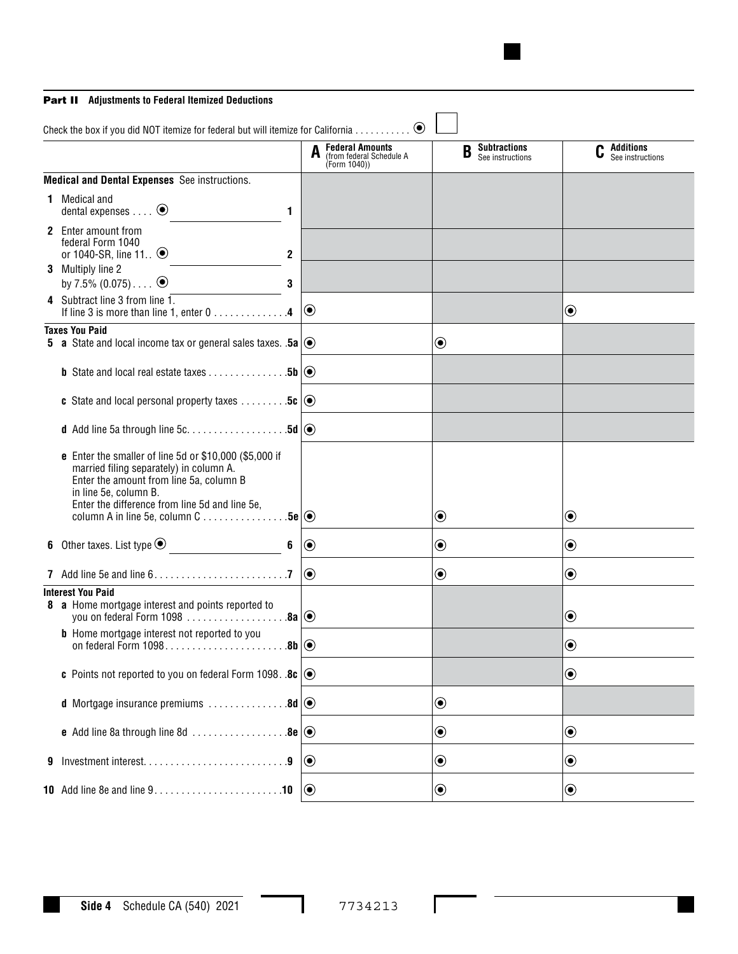### Part II **Adjustments to Federal Itemized Deductions**

|   | Check the box if you did NOT itemize for federal but will itemize for California                                                                                                                                                                                           |                |                                                                                           | $\odot$                                                            |                      |                                              |                             |                                        |
|---|----------------------------------------------------------------------------------------------------------------------------------------------------------------------------------------------------------------------------------------------------------------------------|----------------|-------------------------------------------------------------------------------------------|--------------------------------------------------------------------|----------------------|----------------------------------------------|-----------------------------|----------------------------------------|
|   |                                                                                                                                                                                                                                                                            |                |                                                                                           | <b>Federal Amounts</b><br>(from federal Schedule A<br>(Form 1040)) |                      | <b>Subtractions</b><br>B<br>See instructions |                             | <b>C</b> Additions<br>See instructions |
|   | <b>Medical and Dental Expenses</b> See instructions.                                                                                                                                                                                                                       |                |                                                                                           |                                                                    |                      |                                              |                             |                                        |
|   | <b>1</b> Medical and<br>dental expenses $\dots$ $\odot$                                                                                                                                                                                                                    | $\mathbf{1}$   |                                                                                           |                                                                    |                      |                                              |                             |                                        |
|   | 2 Enter amount from<br>federal Form 1040<br>or 1040-SR, line 11 $\odot$                                                                                                                                                                                                    | $\mathbf{2}$   |                                                                                           |                                                                    |                      |                                              |                             |                                        |
|   | 3 Multiply line 2<br>by 7.5% $(0.075)$ $\odot$                                                                                                                                                                                                                             | 3              |                                                                                           |                                                                    |                      |                                              |                             |                                        |
|   | 4 Subtract line 3 from line 1.<br>If line 3 is more than line 1, enter 0 4                                                                                                                                                                                                 |                | $\odot$                                                                                   |                                                                    |                      |                                              | $\textcolor{blue}{\bullet}$ |                                        |
|   | <b>Taxes You Paid</b><br><b>5</b> a State and local income tax or general sales taxes. .5a $\circledcirc$                                                                                                                                                                  |                |                                                                                           |                                                                    | $\bf \odot$          |                                              |                             |                                        |
|   | <b>b</b> State and local real estate taxes 5b $\circ$                                                                                                                                                                                                                      |                |                                                                                           |                                                                    |                      |                                              |                             |                                        |
|   | <b>c</b> State and local personal property taxes $\dots \dots \dots$ 5c $\odot$                                                                                                                                                                                            |                |                                                                                           |                                                                    |                      |                                              |                             |                                        |
|   |                                                                                                                                                                                                                                                                            |                |                                                                                           |                                                                    |                      |                                              |                             |                                        |
|   | <b>e</b> Enter the smaller of line 5d or \$10,000 (\$5,000 if<br>married filing separately) in column A.<br>Enter the amount from line 5a, column B<br>in line 5e, column B.<br>Enter the difference from line 5d and line 5e,<br>column A in line 5e, column C 5e $\circ$ |                |                                                                                           |                                                                    | $\boldsymbol{\odot}$ |                                              | $\boldsymbol{\odot}$        |                                        |
|   |                                                                                                                                                                                                                                                                            | $6\phantom{a}$ | $  \textcolor{teal}{\bullet}$                                                             |                                                                    | $\bf \odot$          |                                              | $\bf \odot$                 |                                        |
|   | 7 Add line 5e and line $6. \ldots \ldots \ldots \ldots \ldots \ldots \ldots \ldots$                                                                                                                                                                                        |                | $\odot$                                                                                   |                                                                    | $\bf \odot$          |                                              | $\boldsymbol{\copyright}$   |                                        |
|   | <b>Interest You Paid</b><br>8 a Home mortgage interest and points reported to<br>you on federal Form 1098 $\ldots$ 8a $  \odot$                                                                                                                                            |                |                                                                                           |                                                                    |                      |                                              | $\boldsymbol{\odot}$        |                                        |
|   | <b>b</b> Home mortgage interest not reported to you                                                                                                                                                                                                                        |                |                                                                                           |                                                                    |                      |                                              | $\bf \odot$                 |                                        |
|   | c Points not reported to you on federal Form 1098. .8c $\circledcirc$                                                                                                                                                                                                      |                |                                                                                           |                                                                    |                      |                                              | $\boldsymbol{\copyright}$   |                                        |
|   | <b>d</b> Mortgage insurance premiums $\dots\dots\dots\dots\dots$ 8d $\odot$                                                                                                                                                                                                |                |                                                                                           |                                                                    | $\bf \odot$          |                                              |                             |                                        |
|   | <b>e</b> Add line 8a through line 8d $\ldots$ 8e $\circledcirc$                                                                                                                                                                                                            |                |                                                                                           |                                                                    | $\bf \odot$          |                                              | $\boldsymbol{\copyright}$   |                                        |
| 9 |                                                                                                                                                                                                                                                                            |                | $\bigcirc$                                                                                |                                                                    | $\bf \odot$          |                                              | $\boldsymbol{\copyright}$   |                                        |
|   |                                                                                                                                                                                                                                                                            |                | $  \textcolor{teal}{\textcircled{\scriptsize{}}\hspace{-0.5em}}\textcolor{teal}{\bullet}$ |                                                                    | $\bf \odot$          |                                              | $\textcolor{blue}{\bullet}$ |                                        |

I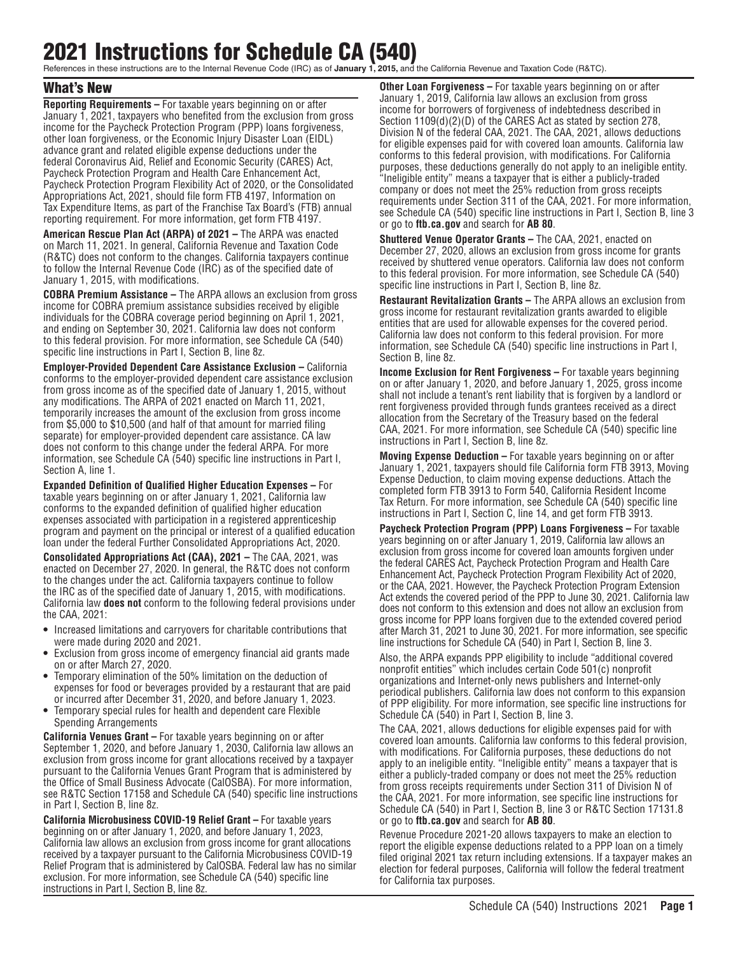# 2021 Instructions for Schedule CA (540)

References in these instructions are to the Internal Revenue Code (IRC) as of **January 1, 2015,** and the California Revenue and Taxation Code (R&TC).

# What's New

**Reporting Requirements –** For taxable years beginning on or after January 1, 2021, taxpayers who benefited from the exclusion from gross income for the Paycheck Protection Program (PPP) loans forgiveness, other loan forgiveness, or the Economic Injury Disaster Loan (EIDL) advance grant and related eligible expense deductions under the federal Coronavirus Aid, Relief and Economic Security (CARES) Act, Paycheck Protection Program and Health Care Enhancement Act, Paycheck Protection Program Flexibility Act of 2020, or the Consolidated Appropriations Act, 2021, should file form FTB 4197, Information on Tax Expenditure Items, as part of the Franchise Tax Board's (FTB) annual reporting requirement. For more information, get form FTB 4197.

**American Rescue Plan Act (ARPA) of 2021 –** The ARPA was enacted on March 11, 2021. In general, California Revenue and Taxation Code (R&TC) does not conform to the changes. California taxpayers continue to follow the Internal Revenue Code (IRC) as of the specified date of January 1, 2015, with modifications.

**COBRA Premium Assistance –** The ARPA allows an exclusion from gross income for COBRA premium assistance subsidies received by eligible individuals for the COBRA coverage period beginning on April 1, 2021, and ending on September 30, 2021. California law does not conform to this federal provision. For more information, see Schedule CA (540) specific line instructions in Part I, Section B, line 8z.

**Employer-Provided Dependent Care Assistance Exclusion – California** conforms to the employer-provided dependent care assistance exclusion from gross income as of the specified date of January 1, 2015, without any modifications. The ARPA of 2021 enacted on March 11, 2021, temporarily increases the amount of the exclusion from gross income from \$5,000 to \$10,500 (and half of that amount for married filing separate) for employer-provided dependent care assistance. CA law does not conform to this change under the federal ARPA. For more information, see Schedule CA (540) specific line instructions in Part I, Section A, line 1.

**Expanded Definition of Qualified Higher Education Expenses –** For taxable years beginning on or after January 1, 2021, California law conforms to the expanded definition of qualified higher education expenses associated with participation in a registered apprenticeship program and payment on the principal or interest of a qualified education loan under the federal Further Consolidated Appropriations Act, 2020.

**Consolidated Appropriations Act (CAA), 2021 –** The CAA, 2021, was enacted on December 27, 2020. In general, the R&TC does not conform to the changes under the act. California taxpayers continue to follow the IRC as of the specified date of January 1, 2015, with modifications. California law **does not** conform to the following federal provisions under the CAA, 2021:

- **•** Increased limitations and carryovers for charitable contributions that were made during 2020 and 2021.
- **•** Exclusion from gross income of emergency financial aid grants made on or after March 27, 2020.
- **•** Temporary elimination of the 50% limitation on the deduction of expenses for food or beverages provided by a restaurant that are paid or incurred after December 31, 2020, and before January 1, 2023.
- **•** Temporary special rules for health and dependent care Flexible Spending Arrangements

**California Venues Grant –** For taxable years beginning on or after September 1, 2020, and before January 1, 2030, California law allows an exclusion from gross income for grant allocations received by a taxpayer pursuant to the California Venues Grant Program that is administered by the Office of Small Business Advocate (CalOSBA). For more information, see R&TC Section 17158 and Schedule CA (540) specific line instructions in Part I, Section B, line 8z.

**California Microbusiness COVID-19 Relief Grant –** For taxable years beginning on or after January 1, 2020, and before January 1, 2023, California law allows an exclusion from gross income for grant allocations received by a taxpayer pursuant to the California Microbusiness COVID-19 Relief Program that is administered by CalOSBA. Federal law has no similar exclusion. For more information, see Schedule CA (540) specific line instructions in Part I, Section B, line 8z.

**Other Loan Forgiveness –** For taxable years beginning on or after January 1, 2019, California law allows an exclusion from gross income for borrowers of forgiveness of indebtedness described in Section 1109(d)(2)(D) of the CARES Act as stated by section 278, Division N of the federal CAA, 2021. The CAA, 2021, allows deductions for eligible expenses paid for with covered loan amounts. California law conforms to this federal provision, with modifications. For California purposes, these deductions generally do not apply to an ineligible entity. "Ineligible entity" means a taxpayer that is either a publicly-traded company or does not meet the 25% reduction from gross receipts requirements under Section 311 of the CAA, 2021. For more information, see Schedule CA (540) specific line instructions in Part I, Section B, line 3 or go to **ftb.ca.gov** and search for **AB 80**.

**Shuttered Venue Operator Grants –** The CAA, 2021, enacted on December 27, 2020, allows an exclusion from gross income for grants received by shuttered venue operators. California law does not conform to this federal provision. For more information, see Schedule CA (540) specific line instructions in Part I, Section B, line 8z.

**Restaurant Revitalization Grants –** The ARPA allows an exclusion from gross income for restaurant revitalization grants awarded to eligible entities that are used for allowable expenses for the covered period. California law does not conform to this federal provision. For more information, see Schedule CA (540) specific line instructions in Part I, Section B, line 8z.

**Income Exclusion for Rent Forgiveness –** For taxable years beginning on or after January 1, 2020, and before January 1, 2025, gross income shall not include a tenant's rent liability that is forgiven by a landlord or rent forgiveness provided through funds grantees received as a direct allocation from the Secretary of the Treasury based on the federal CAA, 2021. For more information, see Schedule CA (540) specific line instructions in Part I, Section B, line 8z.

**Moving Expense Deduction –** For taxable years beginning on or after January 1, 2021, taxpayers should file California form FTB 3913, Moving Expense Deduction, to claim moving expense deductions. Attach the completed form FTB 3913 to Form 540, California Resident Income Tax Return. For more information, see Schedule CA (540) specific line instructions in Part I, Section C, line 14, and get form FTB 3913.

**Paycheck Protection Program (PPP) Loans Forgiveness –** For taxable years beginning on or after January 1, 2019, California law allows an exclusion from gross income for covered loan amounts forgiven under the federal CARES Act, Paycheck Protection Program and Health Care Enhancement Act, Paycheck Protection Program Flexibility Act of 2020, or the CAA, 2021. However, the Paycheck Protection Program Extension Act extends the covered period of the PPP to June 30, 2021. California law does not conform to this extension and does not allow an exclusion from gross income for PPP loans forgiven due to the extended covered period after March 31, 2021 to June 30, 2021. For more information, see specific line instructions for Schedule CA (540) in Part I, Section B, line 3.

Also, the ARPA expands PPP eligibility to include "additional covered nonprofit entities" which includes certain Code 501(c) nonprofit organizations and Internet-only news publishers and Internet-only periodical publishers. California law does not conform to this expansion of PPP eligibility. For more information, see specific line instructions for Schedule CA (540) in Part I, Section B, line 3.

The CAA, 2021, allows deductions for eligible expenses paid for with covered loan amounts. California law conforms to this federal provision, with modifications. For California purposes, these deductions do not apply to an ineligible entity. "Ineligible entity" means a taxpayer that is either a publicly-traded company or does not meet the 25% reduction from gross receipts requirements under Section 311 of Division N of the CAA, 2021. For more information, see specific line instructions for Schedule CA (540) in Part I, Section B, line 3 or R&TC Section 17131.8 or go to **ftb.ca.gov** and search for **AB 80**.

Revenue Procedure 2021-20 allows taxpayers to make an election to report the eligible expense deductions related to a PPP loan on a timely filed original 2021 tax return including extensions. If a taxpayer makes an election for federal purposes, California will follow the federal treatment for California tax purposes.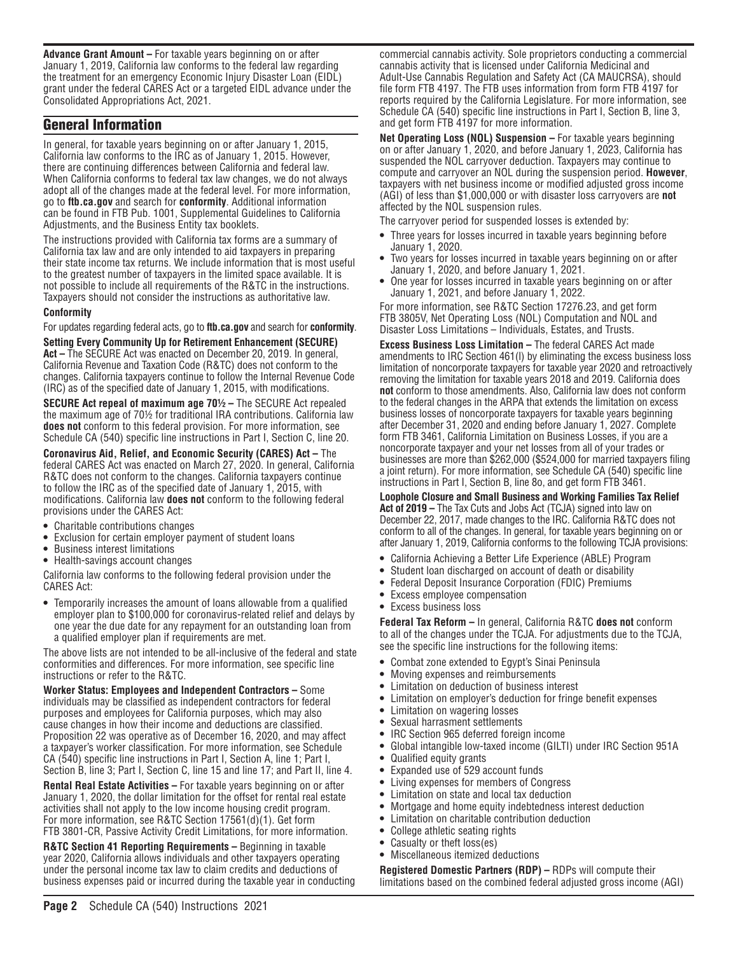**Advance Grant Amount –** For taxable years beginning on or after January 1, 2019, California law conforms to the federal law regarding the treatment for an emergency Economic Injury Disaster Loan (EIDL) grant under the federal CARES Act or a targeted EIDL advance under the Consolidated Appropriations Act, 2021.

# General Information

In general, for taxable years beginning on or after January 1, 2015, California law conforms to the IRC as of January 1, 2015. However, there are continuing differences between California and federal law. When California conforms to federal tax law changes, we do not always adopt all of the changes made at the federal level. For more information, go to **ftb.ca.gov** and search for **conformity**. Additional information can be found in FTB Pub. 1001, Supplemental Guidelines to California Adjustments, and the Business Entity tax booklets.

The instructions provided with California tax forms are a summary of California tax law and are only intended to aid taxpayers in preparing their state income tax returns. We include information that is most useful to the greatest number of taxpayers in the limited space available. It is not possible to include all requirements of the R&TC in the instructions. Taxpayers should not consider the instructions as authoritative law.

#### **Conformity**

For updates regarding federal acts, go to **ftb.ca.gov** and search for **conformity**.

**Setting Every Community Up for Retirement Enhancement (SECURE) Act –** The SECURE Act was enacted on December 20, 2019. In general, California Revenue and Taxation Code (R&TC) does not conform to the changes. California taxpayers continue to follow the Internal Revenue Code (IRC) as of the specified date of January 1, 2015, with modifications.

**SECURE Act repeal of maximum age 70<sup>1</sup>/<sub>2</sub> – The SECURE Act repealed** the maximum age of 70½ for traditional IRA contributions. California law **does not** conform to this federal provision. For more information, see Schedule CA (540) specific line instructions in Part I, Section C, line 20.

**Coronavirus Aid, Relief, and Economic Security (CARES) Act –** The federal CARES Act was enacted on March 27, 2020. In general, California R&TC does not conform to the changes. California taxpayers continue to follow the IRC as of the specified date of January 1, 2015, with modifications. California law **does not** conform to the following federal provisions under the CARES Act:

- **•** Charitable contributions changes
- **•** Exclusion for certain employer payment of student loans
- **•** Business interest limitations
- **•** Health-savings account changes

California law conforms to the following federal provision under the CARES Act:

**•** Temporarily increases the amount of loans allowable from a qualified employer plan to \$100,000 for coronavirus-related relief and delays by one year the due date for any repayment for an outstanding loan from a qualified employer plan if requirements are met.

The above lists are not intended to be all-inclusive of the federal and state conformities and differences. For more information, see specific line instructions or refer to the R&TC.

**Worker Status: Employees and Independent Contractors –** Some individuals may be classified as independent contractors for federal purposes and employees for California purposes, which may also cause changes in how their income and deductions are classified. Proposition 22 was operative as of December 16, 2020, and may affect a taxpayer's worker classification. For more information, see Schedule CA (540) specific line instructions in Part I, Section A, line 1; Part I, Section B, line 3; Part I, Section C, line 15 and line 17; and Part II, line 4.

**Rental Real Estate Activities –** For taxable years beginning on or after January 1, 2020, the dollar limitation for the offset for rental real estate activities shall not apply to the low income housing credit program. For more information, see R&TC Section 17561(d)(1). Get form FTB 3801-CR, Passive Activity Credit Limitations, for more information.

**R&TC Section 41 Reporting Requirements –** Beginning in taxable year 2020, California allows individuals and other taxpayers operating under the personal income tax law to claim credits and deductions of business expenses paid or incurred during the taxable year in conducting commercial cannabis activity. Sole proprietors conducting a commercial cannabis activity that is licensed under California Medicinal and Adult-Use Cannabis Regulation and Safety Act (CA MAUCRSA), should file form FTB 4197. The FTB uses information from form FTB 4197 for reports required by the California Legislature. For more information, see Schedule CA (540) specific line instructions in Part I, Section B, line 3, and get form FTB 4197 for more information.

**Net Operating Loss (NOL) Suspension –** For taxable years beginning on or after January 1, 2020, and before January 1, 2023, California has suspended the NOL carryover deduction. Taxpayers may continue to compute and carryover an NOL during the suspension period. **However**, taxpayers with net business income or modified adjusted gross income (AGI) of less than \$1,000,000 or with disaster loss carryovers are **not** affected by the NOL suspension rules.

The carryover period for suspended losses is extended by:

- **•** Three years for losses incurred in taxable years beginning before January 1, 2020.
- **•** Two years for losses incurred in taxable years beginning on or after January 1, 2020, and before January 1, 2021.
- **•** One year for losses incurred in taxable years beginning on or after January 1, 2021, and before January 1, 2022.

For more information, see R&TC Section 17276.23, and get form FTB 3805V, Net Operating Loss (NOL) Computation and NOL and Disaster Loss Limitations – Individuals, Estates, and Trusts.

**Excess Business Loss Limitation –** The federal CARES Act made amendments to IRC Section 461(l) by eliminating the excess business loss limitation of noncorporate taxpayers for taxable year 2020 and retroactively removing the limitation for taxable years 2018 and 2019. California does **not** conform to those amendments. Also, California law does not conform to the federal changes in the ARPA that extends the limitation on excess business losses of noncorporate taxpayers for taxable years beginning after December 31, 2020 and ending before January 1, 2027. Complete form FTB 3461, California Limitation on Business Losses, if you are a noncorporate taxpayer and your net losses from all of your trades or businesses are more than \$262,000 (\$524,000 for married taxpayers filing a joint return). For more information, see Schedule CA (540) specific line instructions in Part I, Section B, line 8o, and get form FTB 3461.

**Loophole Closure and Small Business and Working Families Tax Relief Act of 2019 –** The Tax Cuts and Jobs Act (TCJA) signed into law on December 22, 2017, made changes to the IRC. California R&TC does not conform to all of the changes. In general, for taxable years beginning on or after January 1, 2019, California conforms to the following TCJA provisions:

- **•** California Achieving a Better Life Experience (ABLE) Program
- **•** Student loan discharged on account of death or disability
- **•** Federal Deposit Insurance Corporation (FDIC) Premiums
- **•** Excess employee compensation
- **•** Excess business loss

**Federal Tax Reform –** In general, California R&TC **does not** conform to all of the changes under the TCJA. For adjustments due to the TCJA, see the specific line instructions for the following items:

- **•** Combat zone extended to Egypt's Sinai Peninsula
- **•** Moving expenses and reimbursements
- **•** Limitation on deduction of business interest
- **•** Limitation on employer's deduction for fringe benefit expenses
- **•** Limitation on wagering losses
- **•** Sexual harrasment settlements
- **•** IRC Section 965 deferred foreign income
- **•** Global intangible low-taxed income (GILTI) under IRC Section 951A
- **•** Qualified equity grants
- **•** Expanded use of 529 account funds
- **•** Living expenses for members of Congress
- **•** Limitation on state and local tax deduction
- **•** Mortgage and home equity indebtedness interest deduction
- **•** Limitation on charitable contribution deduction
- **•** College athletic seating rights
- **•** Casualty or theft loss(es)
- **•** Miscellaneous itemized deductions

**Registered Domestic Partners (RDP) –** RDPs will compute their limitations based on the combined federal adjusted gross income (AGI)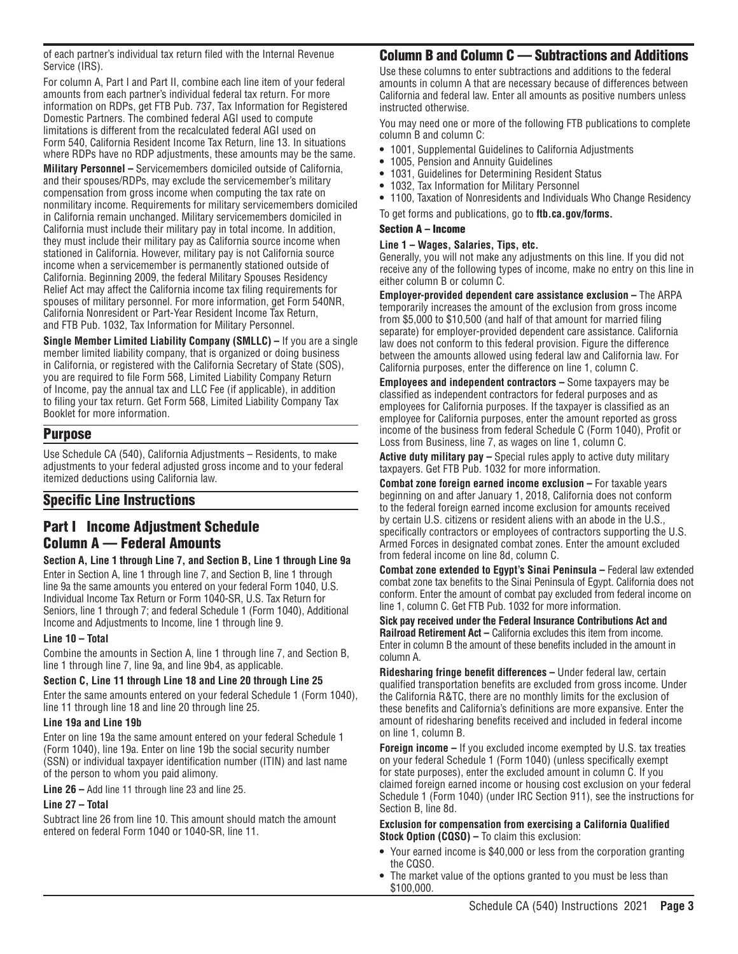of each partner's individual tax return filed with the Internal Revenue Service (IRS).

For column A, Part I and Part II, combine each line item of your federal amounts from each partner's individual federal tax return. For more information on RDPs, get FTB Pub. 737, Tax Information for Registered Domestic Partners. The combined federal AGI used to compute limitations is different from the recalculated federal AGI used on Form 540, California Resident Income Tax Return, line 13. In situations where RDPs have no RDP adjustments, these amounts may be the same.

**Military Personnel –** Servicemembers domiciled outside of California, and their spouses/RDPs, may exclude the servicemember's military compensation from gross income when computing the tax rate on nonmilitary income. Requirements for military servicemembers domiciled in California remain unchanged. Military servicemembers domiciled in California must include their military pay in total income. In addition, they must include their military pay as California source income when stationed in California. However, military pay is not California source income when a servicemember is permanently stationed outside of California. Beginning 2009, the federal Military Spouses Residency Relief Act may affect the California income tax filing requirements for spouses of military personnel. For more information, get Form 540NR, California Nonresident or Part-Year Resident Income Tax Return, and FTB Pub. 1032, Tax Information for Military Personnel.

**Single Member Limited Liability Company (SMLLC) –** If you are a single member limited liability company, that is organized or doing business in California, or registered with the California Secretary of State (SOS), you are required to file Form 568, Limited Liability Company Return of Income, pay the annual tax and LLC Fee (if applicable), in addition to filing your tax return. Get Form 568, Limited Liability Company Tax Booklet for more information.

## Purpose

Use Schedule CA (540), California Adjustments – Residents, to make adjustments to your federal adjusted gross income and to your federal itemized deductions using California law.

# Specific Line Instructions

# Part I Income Adjustment Schedule Column A — Federal Amounts

#### **Section A, Line 1 through Line 7, and Section B, Line 1 through Line 9a**

Enter in Section A, line 1 through line 7, and Section B, line 1 through line 9a the same amounts you entered on your federal Form 1040, U.S. Individual Income Tax Return or Form 1040-SR, U.S. Tax Return for Seniors, line 1 through 7; and federal Schedule 1 (Form 1040), Additional Income and Adjustments to Income, line 1 through line 9.

#### **Line 10 – Total**

Combine the amounts in Section A, line 1 through line 7, and Section B, line 1 through line 7, line 9a, and line 9b4, as applicable.

#### **Section C, Line 11 through Line 18 and Line 20 through Line 25**

Enter the same amounts entered on your federal Schedule 1 (Form 1040), line 11 through line 18 and line 20 through line 25.

#### **Line 19a and Line 19b**

Enter on line 19a the same amount entered on your federal Schedule 1 (Form 1040), line 19a. Enter on line 19b the social security number (SSN) or individual taxpayer identification number (ITIN) and last name of the person to whom you paid alimony.

**Line 26 –** Add line 11 through line 23 and line 25.

#### **Line 27 – Total**

Subtract line 26 from line 10. This amount should match the amount entered on federal Form 1040 or 1040-SR, line 11.

## Column B and Column C — Subtractions and Additions

Use these columns to enter subtractions and additions to the federal amounts in column A that are necessary because of differences between California and federal law. Enter all amounts as positive numbers unless instructed otherwise.

You may need one or more of the following FTB publications to complete column B and column C:

- **•** 1001, Supplemental Guidelines to California Adjustments
- **•** 1005, Pension and Annuity Guidelines
- **•** 1031, Guidelines for Determining Resident Status
- **•** 1032, Tax Information for Military Personnel
- **•** 1100, Taxation of Nonresidents and Individuals Who Change Residency

To get forms and publications, go to **ftb.ca.gov/forms.**

#### Section A – Income

#### **Line 1 – Wages, Salaries, Tips, etc.**

Generally, you will not make any adjustments on this line. If you did not receive any of the following types of income, make no entry on this line in either column B or column C.

**Employer-provided dependent care assistance exclusion –** The ARPA temporarily increases the amount of the exclusion from gross income from \$5,000 to \$10,500 (and half of that amount for married filing separate) for employer-provided dependent care assistance. California law does not conform to this federal provision. Figure the difference between the amounts allowed using federal law and California law. For California purposes, enter the difference on line 1, column C.

**Employees and independent contractors –** Some taxpayers may be classified as independent contractors for federal purposes and as employees for California purposes. If the taxpayer is classified as an employee for California purposes, enter the amount reported as gross income of the business from federal Schedule C (Form 1040), Profit or Loss from Business, line 7, as wages on line 1, column C.

**Active duty military pay –** Special rules apply to active duty military taxpayers. Get FTB Pub. 1032 for more information.

**Combat zone foreign earned income exclusion – For taxable years** beginning on and after January 1, 2018, California does not conform to the federal foreign earned income exclusion for amounts received by certain U.S. citizens or resident aliens with an abode in the U.S., specifically contractors or employees of contractors supporting the U.S. Armed Forces in designated combat zones. Enter the amount excluded from federal income on line 8d, column C.

**Combat zone extended to Egypt's Sinai Peninsula – Federal law extended** combat zone tax benefits to the Sinai Peninsula of Egypt. California does not conform. Enter the amount of combat pay excluded from federal income on line 1, column C. Get FTB Pub. 1032 for more information.

**Sick pay received under the Federal Insurance Contributions Act and Railroad Retirement Act –** California excludes this item from income. Enter in column B the amount of these benefits included in the amount in column A.

**Ridesharing fringe benefit differences –** Under federal law, certain qualified transportation benefits are excluded from gross income. Under the California R&TC, there are no monthly limits for the exclusion of these benefits and California's definitions are more expansive. Enter the amount of ridesharing benefits received and included in federal income on line 1, column B.

**Foreign income –** If you excluded income exempted by U.S. tax treaties on your federal Schedule 1 (Form 1040) (unless specifically exempt for state purposes), enter the excluded amount in column C. If you claimed foreign earned income or housing cost exclusion on your federal Schedule 1 (Form 1040) (under IRC Section 911), see the instructions for Section B, line 8d.

#### **Exclusion for compensation from exercising a California Qualified Stock Option (CQSO) –** To claim this exclusion:

- **•** Your earned income is \$40,000 or less from the corporation granting the CQSO.
- **•** The market value of the options granted to you must be less than \$100,000.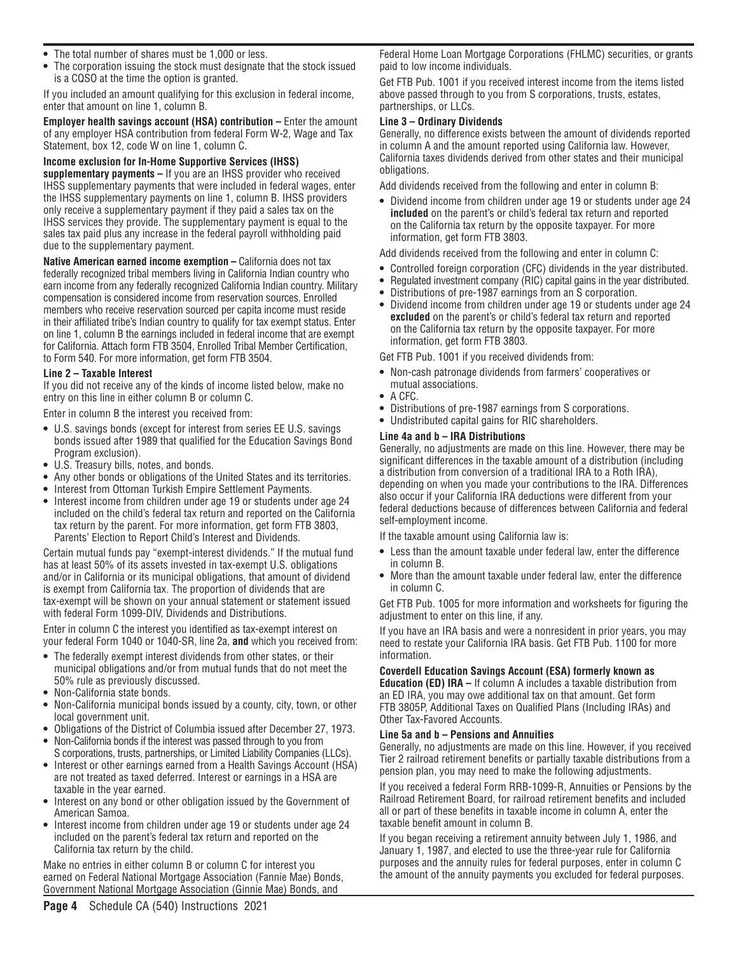- **•** The total number of shares must be 1,000 or less.
- **•** The corporation issuing the stock must designate that the stock issued is a CQSO at the time the option is granted.

If you included an amount qualifying for this exclusion in federal income, enter that amount on line 1, column B.

**Employer health savings account (HSA) contribution – Enter the amount** of any employer HSA contribution from federal Form W-2, Wage and Tax Statement, box 12, code W on line 1, column C.

## **Income exclusion for In-Home Supportive Services (IHSS)**

**supplementary payments –** If you are an IHSS provider who received IHSS supplementary payments that were included in federal wages, enter the IHSS supplementary payments on line 1, column B. IHSS providers only receive a supplementary payment if they paid a sales tax on the IHSS services they provide. The supplementary payment is equal to the sales tax paid plus any increase in the federal payroll withholding paid due to the supplementary payment.

**Native American earned income exemption – California does not tax** federally recognized tribal members living in California Indian country who earn income from any federally recognized California Indian country. Military compensation is considered income from reservation sources. Enrolled members who receive reservation sourced per capita income must reside in their affiliated tribe's Indian country to qualify for tax exempt status. Enter on line 1, column B the earnings included in federal income that are exempt for California. Attach form FTB 3504, Enrolled Tribal Member Certification, to Form 540. For more information, get form FTB 3504.

#### **Line 2 – Taxable Interest**

If you did not receive any of the kinds of income listed below, make no entry on this line in either column B or column C.

Enter in column B the interest you received from:

- **•** U.S. savings bonds (except for interest from series EE U.S. savings bonds issued after 1989 that qualified for the Education Savings Bond Program exclusion).
- **•** U.S. Treasury bills, notes, and bonds.
- **•** Any other bonds or obligations of the United States and its territories.
- **•** Interest from Ottoman Turkish Empire Settlement Payments.
- **•** Interest income from children under age 19 or students under age 24 included on the child's federal tax return and reported on the California tax return by the parent. For more information, get form FTB 3803, Parents' Election to Report Child's Interest and Dividends.

Certain mutual funds pay "exempt-interest dividends." If the mutual fund has at least 50% of its assets invested in tax-exempt U.S. obligations and/or in California or its municipal obligations, that amount of dividend is exempt from California tax. The proportion of dividends that are tax-exempt will be shown on your annual statement or statement issued with federal Form 1099-DIV, Dividends and Distributions.

Enter in column C the interest you identified as tax-exempt interest on your federal Form 1040 or 1040-SR, line 2a, **and** which you received from:

- **•** The federally exempt interest dividends from other states, or their municipal obligations and/or from mutual funds that do not meet the 50% rule as previously discussed.
- **•** Non-California state bonds.
- **•** Non-California municipal bonds issued by a county, city, town, or other local government unit.
- **•** Obligations of the District of Columbia issued after December 27, 1973.
- **•** Non-California bonds if the interest was passed through to you from S corporations, trusts, partnerships, or Limited Liability Companies (LLCs).
- **•** Interest or other earnings earned from a Health Savings Account (HSA) are not treated as taxed deferred. Interest or earnings in a HSA are taxable in the year earned.
- **•** Interest on any bond or other obligation issued by the Government of American Samoa.
- **•** Interest income from children under age 19 or students under age 24 included on the parent's federal tax return and reported on the California tax return by the child.

Make no entries in either column B or column C for interest you earned on Federal National Mortgage Association (Fannie Mae) Bonds, Government National Mortgage Association (Ginnie Mae) Bonds, and

Federal Home Loan Mortgage Corporations (FHLMC) securities, or grants paid to low income individuals.

Get FTB Pub. 1001 if you received interest income from the items listed above passed through to you from S corporations, trusts, estates, partnerships, or LLCs.

#### **Line 3 – Ordinary Dividends**

Generally, no difference exists between the amount of dividends reported in column A and the amount reported using California law. However, California taxes dividends derived from other states and their municipal obligations.

Add dividends received from the following and enter in column B:

**•** Dividend income from children under age 19 or students under age 24 **included** on the parent's or child's federal tax return and reported on the California tax return by the opposite taxpayer. For more information, get form FTB 3803.

Add dividends received from the following and enter in column C:

- **•** Controlled foreign corporation (CFC) dividends in the year distributed.
- **•** Regulated investment company (RIC) capital gains in the year distributed.
- **•** Distributions of pre-1987 earnings from an S corporation.
- **•** Dividend income from children under age 19 or students under age 24 **excluded** on the parent's or child's federal tax return and reported on the California tax return by the opposite taxpayer. For more information, get form FTB 3803.

Get FTB Pub. 1001 if you received dividends from:

- **•** Non-cash patronage dividends from farmers' cooperatives or mutual associations.
- **•** A CFC.
- **•** Distributions of pre-1987 earnings from S corporations.
- **•** Undistributed capital gains for RIC shareholders.

#### **Line 4a and b – IRA Distributions**

Generally, no adjustments are made on this line. However, there may be significant differences in the taxable amount of a distribution (including a distribution from conversion of a traditional IRA to a Roth IRA), depending on when you made your contributions to the IRA. Differences also occur if your California IRA deductions were different from your federal deductions because of differences between California and federal self-employment income.

If the taxable amount using California law is:

- **•** Less than the amount taxable under federal law, enter the difference in column B.
- **•** More than the amount taxable under federal law, enter the difference in column C.

Get FTB Pub. 1005 for more information and worksheets for figuring the adjustment to enter on this line, if any.

If you have an IRA basis and were a nonresident in prior years, you may need to restate your California IRA basis. Get FTB Pub. 1100 for more information.

#### **Coverdell Education Savings Account (ESA) formerly known as**

**Education (ED) IRA –** If column A includes a taxable distribution from an ED IRA, you may owe additional tax on that amount. Get form FTB 3805P, Additional Taxes on Qualified Plans (Including IRAs) and Other Tax-Favored Accounts.

#### **Line 5a and b – Pensions and Annuities**

Generally, no adjustments are made on this line. However, if you received Tier 2 railroad retirement benefits or partially taxable distributions from a pension plan, you may need to make the following adjustments.

If you received a federal Form RRB-1099-R, Annuities or Pensions by the Railroad Retirement Board, for railroad retirement benefits and included all or part of these benefits in taxable income in column A, enter the taxable benefit amount in column B.

If you began receiving a retirement annuity between July 1, 1986, and January 1, 1987, and elected to use the three-year rule for California purposes and the annuity rules for federal purposes, enter in column C the amount of the annuity payments you excluded for federal purposes.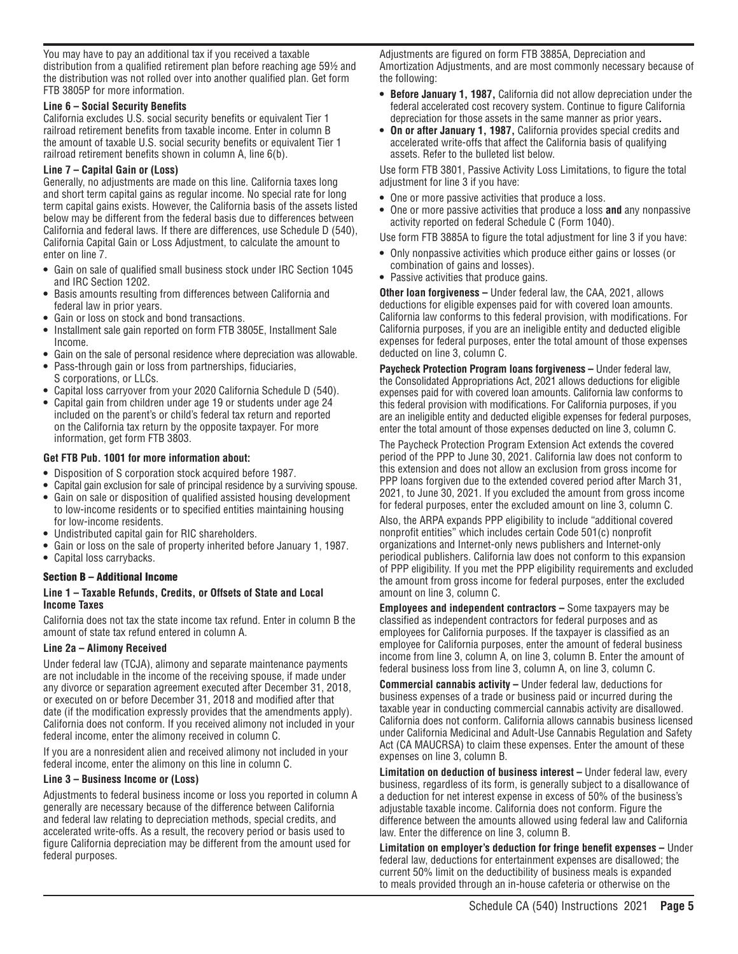You may have to pay an additional tax if you received a taxable distribution from a qualified retirement plan before reaching age 59½ and the distribution was not rolled over into another qualified plan. Get form FTB 3805P for more information.

#### **Line 6 – Social Security Benefits**

California excludes U.S. social security benefits or equivalent Tier 1 railroad retirement benefits from taxable income. Enter in column B the amount of taxable U.S. social security benefits or equivalent Tier 1 railroad retirement benefits shown in column A, line 6(b).

#### **Line 7 – Capital Gain or (Loss)**

Generally, no adjustments are made on this line. California taxes long and short term capital gains as regular income. No special rate for long term capital gains exists. However, the California basis of the assets listed below may be different from the federal basis due to differences between California and federal laws. If there are differences, use Schedule D (540), California Capital Gain or Loss Adjustment, to calculate the amount to enter on line 7.

- **•** Gain on sale of qualified small business stock under IRC Section 1045 and IRC Section 1202.
- **•** Basis amounts resulting from differences between California and federal law in prior years.
- **•** Gain or loss on stock and bond transactions.
- **•** Installment sale gain reported on form FTB 3805E, Installment Sale Income.
- **•** Gain on the sale of personal residence where depreciation was allowable.
- **•** Pass-through gain or loss from partnerships, fiduciaries, S corporations, or LLCs.
- **•** Capital loss carryover from your 2020 California Schedule D (540).
- **•** Capital gain from children under age 19 or students under age 24 included on the parent's or child's federal tax return and reported on the California tax return by the opposite taxpayer. For more information, get form FTB 3803.

#### **Get FTB Pub. 1001 for more information about:**

- **•** Disposition of S corporation stock acquired before 1987.
- **•** Capital gain exclusion for sale of principal residence by a surviving spouse. **•** Gain on sale or disposition of qualified assisted housing development to low-income residents or to specified entities maintaining housing
- for low-income residents.
- **•** Undistributed capital gain for RIC shareholders.
- **•** Gain or loss on the sale of property inherited before January 1, 1987.
- **•** Capital loss carrybacks.

#### Section B – Additional Income

#### **Line 1 – Taxable Refunds, Credits, or Offsets of State and Local Income Taxes**

California does not tax the state income tax refund. Enter in column B the amount of state tax refund entered in column A.

#### **Line 2a – Alimony Received**

Under federal law (TCJA), alimony and separate maintenance payments are not includable in the income of the receiving spouse, if made under any divorce or separation agreement executed after December 31, 2018, or executed on or before December 31, 2018 and modified after that date (if the modification expressly provides that the amendments apply). California does not conform. If you received alimony not included in your federal income, enter the alimony received in column C.

If you are a nonresident alien and received alimony not included in your federal income, enter the alimony on this line in column C.

#### **Line 3 – Business Income or (Loss)**

Adjustments to federal business income or loss you reported in column A generally are necessary because of the difference between California and federal law relating to depreciation methods, special credits, and accelerated write-offs. As a result, the recovery period or basis used to figure California depreciation may be different from the amount used for federal purposes.

Adjustments are figured on form FTB 3885A, Depreciation and Amortization Adjustments, and are most commonly necessary because of the following:

- **• Before January 1, 1987,** California did not allow depreciation under the federal accelerated cost recovery system. Continue to figure California depreciation for those assets in the same manner as prior years**.**
- **• On or after January 1, 1987,** California provides special credits and accelerated write-offs that affect the California basis of qualifying assets. Refer to the bulleted list below.

Use form FTB 3801, Passive Activity Loss Limitations, to figure the total adjustment for line 3 if you have:

- **•** One or more passive activities that produce a loss.
- **•** One or more passive activities that produce a loss **and** any nonpassive activity reported on federal Schedule C (Form 1040).

Use form FTB 3885A to figure the total adjustment for line 3 if you have:

- **•** Only nonpassive activities which produce either gains or losses (or combination of gains and losses).
- **•** Passive activities that produce gains.

**Other loan forgiveness –** Under federal law, the CAA, 2021, allows deductions for eligible expenses paid for with covered loan amounts. California law conforms to this federal provision, with modifications. For California purposes, if you are an ineligible entity and deducted eligible expenses for federal purposes, enter the total amount of those expenses deducted on line 3, column C.

**Paycheck Protection Program Ioans forgiveness – Under federal law,** the Consolidated Appropriations Act, 2021 allows deductions for eligible expenses paid for with covered loan amounts. California law conforms to this federal provision with modifications. For California purposes, if you are an ineligible entity and deducted eligible expenses for federal purposes, enter the total amount of those expenses deducted on line 3, column C.

The Paycheck Protection Program Extension Act extends the covered period of the PPP to June 30, 2021. California law does not conform to this extension and does not allow an exclusion from gross income for PPP loans forgiven due to the extended covered period after March 31, 2021, to June 30, 2021. If you excluded the amount from gross income for federal purposes, enter the excluded amount on line 3, column C.

Also, the ARPA expands PPP eligibility to include "additional covered nonprofit entities" which includes certain Code 501(c) nonprofit organizations and Internet-only news publishers and Internet-only periodical publishers. California law does not conform to this expansion of PPP eligibility. If you met the PPP eligibility requirements and excluded the amount from gross income for federal purposes, enter the excluded amount on line 3, column C.

**Employees and independent contractors –** Some taxpayers may be classified as independent contractors for federal purposes and as employees for California purposes. If the taxpayer is classified as an employee for California purposes, enter the amount of federal business income from line 3, column A, on line 3, column B. Enter the amount of federal business loss from line 3, column A, on line 3, column C.

**Commercial cannabis activity –** Under federal law, deductions for business expenses of a trade or business paid or incurred during the taxable year in conducting commercial cannabis activity are disallowed. California does not conform. California allows cannabis business licensed under California Medicinal and Adult-Use Cannabis Regulation and Safety Act (CA MAUCRSA) to claim these expenses. Enter the amount of these expenses on line 3, column B.

**Limitation on deduction of business interest – Under federal law, every** business, regardless of its form, is generally subject to a disallowance of a deduction for net interest expense in excess of 50% of the business's adjustable taxable income. California does not conform. Figure the difference between the amounts allowed using federal law and California law. Enter the difference on line 3, column B.

**Limitation on employer's deduction for fringe benefit expenses –** Under federal law, deductions for entertainment expenses are disallowed; the current 50% limit on the deductibility of business meals is expanded to meals provided through an in-house cafeteria or otherwise on the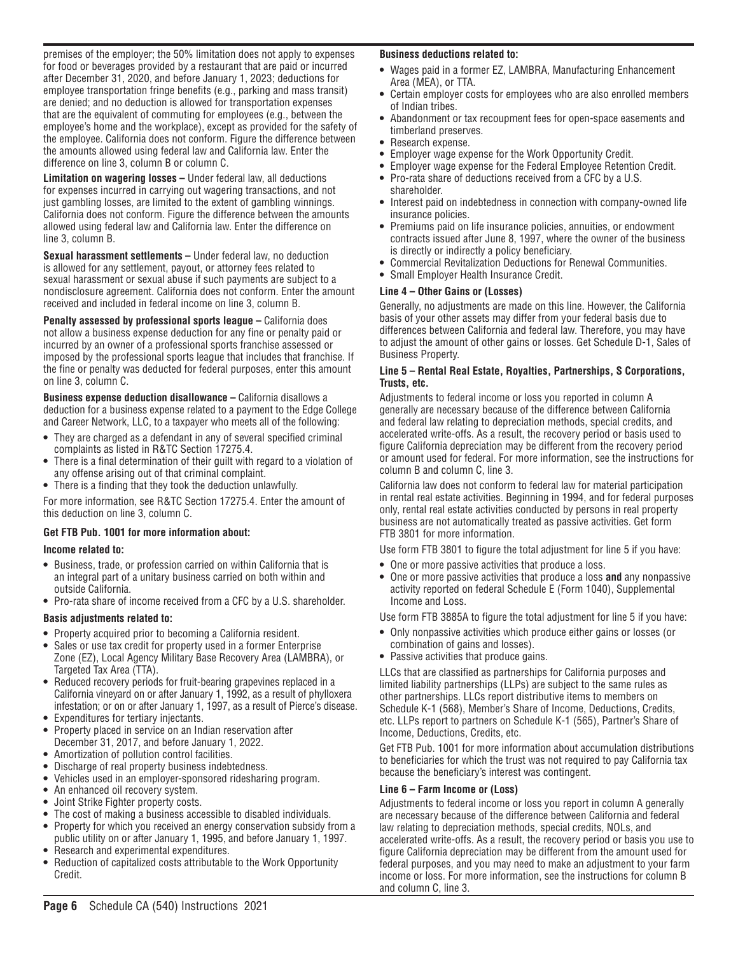premises of the employer; the 50% limitation does not apply to expenses for food or beverages provided by a restaurant that are paid or incurred after December 31, 2020, and before January 1, 2023; deductions for employee transportation fringe benefits (e.g., parking and mass transit) are denied; and no deduction is allowed for transportation expenses that are the equivalent of commuting for employees (e.g., between the employee's home and the workplace), except as provided for the safety of the employee. California does not conform. Figure the difference between the amounts allowed using federal law and California law. Enter the difference on line 3, column B or column C.

**Limitation on wagering losses –** Under federal law, all deductions for expenses incurred in carrying out wagering transactions, and not just gambling losses, are limited to the extent of gambling winnings. California does not conform. Figure the difference between the amounts allowed using federal law and California law. Enter the difference on line 3, column B.

**Sexual harassment settlements –** Under federal law, no deduction is allowed for any settlement, payout, or attorney fees related to sexual harassment or sexual abuse if such payments are subject to a nondisclosure agreement. California does not conform. Enter the amount received and included in federal income on line 3, column B.

**Penalty assessed by professional sports league – California does** not allow a business expense deduction for any fine or penalty paid or incurred by an owner of a professional sports franchise assessed or imposed by the professional sports league that includes that franchise. If the fine or penalty was deducted for federal purposes, enter this amount on line 3, column C.

**Business expense deduction disallowance – California disallows a** deduction for a business expense related to a payment to the Edge College and Career Network, LLC, to a taxpayer who meets all of the following:

- **•** They are charged as a defendant in any of several specified criminal complaints as listed in R&TC Section 17275.4.
- **•** There is a final determination of their guilt with regard to a violation of any offense arising out of that criminal complaint.
- **•** There is a finding that they took the deduction unlawfully.

For more information, see R&TC Section 17275.4. Enter the amount of this deduction on line 3, column C.

#### **Get FTB Pub. 1001 for more information about:**

#### **Income related to:**

- **•** Business, trade, or profession carried on within California that is an integral part of a unitary business carried on both within and outside California.
- **•** Pro-rata share of income received from a CFC by a U.S. shareholder.

#### **Basis adjustments related to:**

- **•** Property acquired prior to becoming a California resident.
- **•** Sales or use tax credit for property used in a former Enterprise Zone (EZ), Local Agency Military Base Recovery Area (LAMBRA), or Targeted Tax Area (TTA).
- **•** Reduced recovery periods for fruit-bearing grapevines replaced in a California vineyard on or after January 1, 1992, as a result of phylloxera infestation; or on or after January 1, 1997, as a result of Pierce's disease.
- **•** Expenditures for tertiary injectants.
- **•** Property placed in service on an Indian reservation after December 31, 2017, and before January 1, 2022.
- **•** Amortization of pollution control facilities.
- **•** Discharge of real property business indebtedness.
- **•** Vehicles used in an employer-sponsored ridesharing program.
- **•** An enhanced oil recovery system.
- **•** Joint Strike Fighter property costs.
- **•** The cost of making a business accessible to disabled individuals.
- **•** Property for which you received an energy conservation subsidy from a public utility on or after January 1, 1995, and before January 1, 1997.
- **•** Research and experimental expenditures.
- **•** Reduction of capitalized costs attributable to the Work Opportunity Credit.

## **Business deductions related to:**

- **•** Wages paid in a former EZ, LAMBRA, Manufacturing Enhancement Area (MEA), or TTA.
- **•** Certain employer costs for employees who are also enrolled members of Indian tribes.
- **•** Abandonment or tax recoupment fees for open-space easements and timberland preserves.
- **•** Research expense.
- **•** Employer wage expense for the Work Opportunity Credit.
- **•** Employer wage expense for the Federal Employee Retention Credit.
- **•** Pro-rata share of deductions received from a CFC by a U.S. shareholder.
- **•** Interest paid on indebtedness in connection with company-owned life insurance policies.
- **•** Premiums paid on life insurance policies, annuities, or endowment contracts issued after June 8, 1997, where the owner of the business is directly or indirectly a policy beneficiary.
- **•** Commercial Revitalization Deductions for Renewal Communities.
- **•** Small Employer Health Insurance Credit.

#### **Line 4 – Other Gains or (Losses)**

Generally, no adjustments are made on this line. However, the California basis of your other assets may differ from your federal basis due to differences between California and federal law. Therefore, you may have to adjust the amount of other gains or losses. Get Schedule D-1, Sales of Business Property.

#### **Line 5 – Rental Real Estate, Royalties, Partnerships, S Corporations, Trusts, etc.**

Adjustments to federal income or loss you reported in column A generally are necessary because of the difference between California and federal law relating to depreciation methods, special credits, and accelerated write-offs. As a result, the recovery period or basis used to figure California depreciation may be different from the recovery period or amount used for federal. For more information, see the instructions for column B and column C, line 3.

California law does not conform to federal law for material participation in rental real estate activities. Beginning in 1994, and for federal purposes only, rental real estate activities conducted by persons in real property business are not automatically treated as passive activities. Get form FTB 3801 for more information.

Use form FTB 3801 to figure the total adjustment for line 5 if you have:

- **•** One or more passive activities that produce a loss.
- **•** One or more passive activities that produce a loss **and** any nonpassive activity reported on federal Schedule E (Form 1040), Supplemental Income and Loss.

Use form FTB 3885A to figure the total adjustment for line 5 if you have:

- **•** Only nonpassive activities which produce either gains or losses (or combination of gains and losses).
- **•** Passive activities that produce gains.

LLCs that are classified as partnerships for California purposes and limited liability partnerships (LLPs) are subject to the same rules as other partnerships. LLCs report distributive items to members on Schedule K-1 (568), Member's Share of Income, Deductions, Credits, etc. LLPs report to partners on Schedule K-1 (565), Partner's Share of Income, Deductions, Credits, etc.

Get FTB Pub. 1001 for more information about accumulation distributions to beneficiaries for which the trust was not required to pay California tax because the beneficiary's interest was contingent.

#### **Line 6 – Farm Income or (Loss)**

Adjustments to federal income or loss you report in column A generally are necessary because of the difference between California and federal law relating to depreciation methods, special credits, NOLs, and accelerated write-offs. As a result, the recovery period or basis you use to figure California depreciation may be different from the amount used for federal purposes, and you may need to make an adjustment to your farm income or loss. For more information, see the instructions for column B and column C, line 3.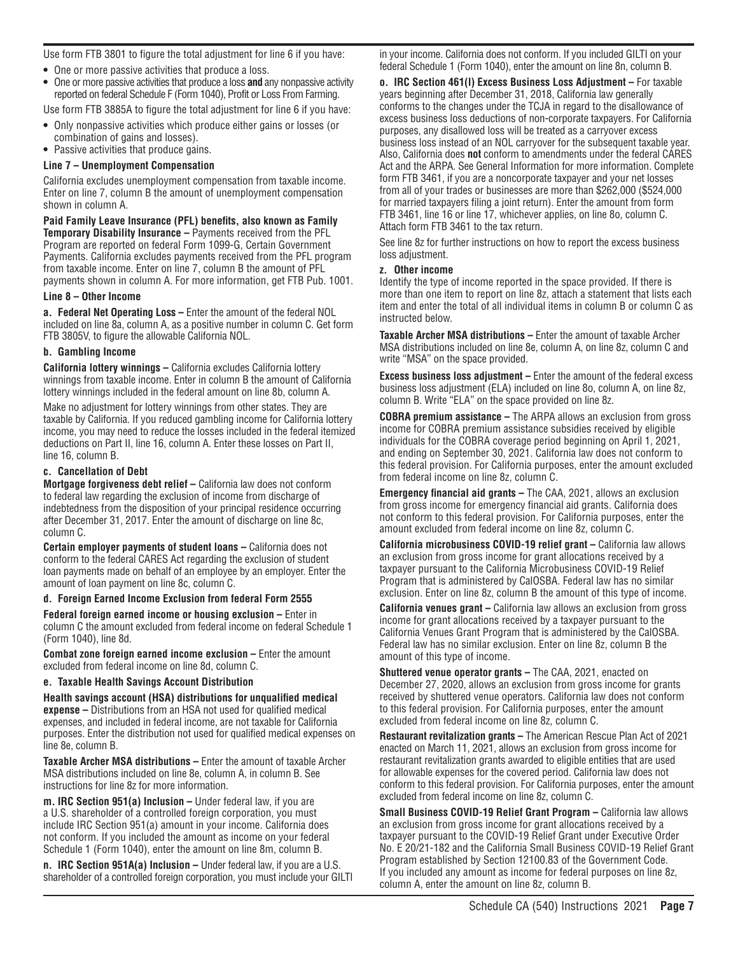Use form FTB 3801 to figure the total adjustment for line 6 if you have:

- **•** One or more passive activities that produce a loss.
- **•** One or more passive activities that produce a loss **and** any nonpassive activity reported on federal Schedule F (Form 1040), Profit or Loss From Farming.

Use form FTB 3885A to figure the total adjustment for line 6 if you have:

- **•** Only nonpassive activities which produce either gains or losses (or combination of gains and losses).
- **•** Passive activities that produce gains.

#### **Line 7 – Unemployment Compensation**

California excludes unemployment compensation from taxable income. Enter on line 7, column B the amount of unemployment compensation shown in column A.

**Paid Family Leave Insurance (PFL) benefits, also known as Family Temporary Disability Insurance –** Payments received from the PFL Program are reported on federal Form 1099-G, Certain Government Payments. California excludes payments received from the PFL program from taxable income. Enter on line 7, column B the amount of PFL payments shown in column A. For more information, get FTB Pub. 1001.

#### **Line 8 – Other Income**

**a. Federal Net Operating Loss –** Enter the amount of the federal NOL included on line 8a, column A, as a positive number in column C. Get form FTB 3805V, to figure the allowable California NOL.

#### **b. Gambling Income**

**California lottery winnings –** California excludes California lottery winnings from taxable income. Enter in column B the amount of California lottery winnings included in the federal amount on line 8b, column A.

Make no adjustment for lottery winnings from other states. They are taxable by California. If you reduced gambling income for California lottery income, you may need to reduce the losses included in the federal itemized deductions on Part II, line 16, column A. Enter these losses on Part II, line 16, column B.

#### **c. Cancellation of Debt**

**Mortgage forgiveness debt relief –** California law does not conform to federal law regarding the exclusion of income from discharge of indebtedness from the disposition of your principal residence occurring after December 31, 2017. Enter the amount of discharge on line 8c, column C.

**Certain employer payments of student loans –** California does not conform to the federal CARES Act regarding the exclusion of student loan payments made on behalf of an employee by an employer. Enter the amount of loan payment on line 8c, column C.

**d. Foreign Earned Income Exclusion from federal Form 2555**

**Federal foreign earned income or housing exclusion –** Enter in column C the amount excluded from federal income on federal Schedule 1 (Form 1040), line 8d.

**Combat zone foreign earned income exclusion –** Enter the amount excluded from federal income on line 8d, column C.

#### **e. Taxable Health Savings Account Distribution**

**Health savings account (HSA) distributions for unqualified medical expense –** Distributions from an HSA not used for qualified medical expenses, and included in federal income, are not taxable for California purposes. Enter the distribution not used for qualified medical expenses on line 8e, column B.

**Taxable Archer MSA distributions –** Enter the amount of taxable Archer MSA distributions included on line 8e, column A, in column B. See instructions for line 8z for more information.

**m. IRC Section 951(a) Inclusion –** Under federal law, if you are a U.S. shareholder of a controlled foreign corporation, you must include IRC Section 951(a) amount in your income. California does not conform. If you included the amount as income on your federal Schedule 1 (Form 1040), enter the amount on line 8m, column B.

**n. IRC Section 951A(a) Inclusion –** Under federal law, if you are a U.S. shareholder of a controlled foreign corporation, you must include your GILTI in your income. California does not conform. If you included GILTI on your federal Schedule 1 (Form 1040), enter the amount on line 8n, column B.

**o. IRC Section 461(l) Excess Business Loss Adjustment –** For taxable years beginning after December 31, 2018, California law generally conforms to the changes under the TCJA in regard to the disallowance of excess business loss deductions of non-corporate taxpayers. For California purposes, any disallowed loss will be treated as a carryover excess business loss instead of an NOL carryover for the subsequent taxable year. Also, California does **not** conform to amendments under the federal CARES Act and the ARPA. See General Information for more information. Complete form FTB 3461, if you are a noncorporate taxpayer and your net losses from all of your trades or businesses are more than \$262,000 (\$524,000 for married taxpayers filing a joint return). Enter the amount from form FTB 3461, line 16 or line 17, whichever applies, on line 8o, column C. Attach form FTB 3461 to the tax return.

See line 8z for further instructions on how to report the excess business loss adjustment.

#### **z. Other income**

Identify the type of income reported in the space provided. If there is more than one item to report on line 8z, attach a statement that lists each item and enter the total of all individual items in column B or column C as instructed below.

**Taxable Archer MSA distributions –** Enter the amount of taxable Archer MSA distributions included on line 8e, column A, on line 8z, column C and write "MSA" on the space provided.

**Excess business loss adjustment –** Enter the amount of the federal excess business loss adjustment (ELA) included on line 8o, column A, on line 8z, column B. Write "ELA" on the space provided on line 8z.

**COBRA premium assistance –** The ARPA allows an exclusion from gross income for COBRA premium assistance subsidies received by eligible individuals for the COBRA coverage period beginning on April 1, 2021, and ending on September 30, 2021. California law does not conform to this federal provision. For California purposes, enter the amount excluded from federal income on line 8z, column C.

**Emergency financial aid grants –** The CAA, 2021, allows an exclusion from gross income for emergency financial aid grants. California does not conform to this federal provision. For California purposes, enter the amount excluded from federal income on line 8z, column C.

**California microbusiness COVID-19 relief grant – California law allows** an exclusion from gross income for grant allocations received by a taxpayer pursuant to the California Microbusiness COVID-19 Relief Program that is administered by CalOSBA. Federal law has no similar exclusion. Enter on line 8z, column B the amount of this type of income.

**California venues grant –** California law allows an exclusion from gross income for grant allocations received by a taxpayer pursuant to the California Venues Grant Program that is administered by the CalOSBA. Federal law has no similar exclusion. Enter on line 8z, column B the amount of this type of income.

**Shuttered venue operator grants –** The CAA, 2021, enacted on December 27, 2020, allows an exclusion from gross income for grants received by shuttered venue operators. California law does not conform to this federal provision. For California purposes, enter the amount excluded from federal income on line 8z, column C.

**Restaurant revitalization grants –** The American Rescue Plan Act of 2021 enacted on March 11, 2021, allows an exclusion from gross income for restaurant revitalization grants awarded to eligible entities that are used for allowable expenses for the covered period. California law does not conform to this federal provision. For California purposes, enter the amount excluded from federal income on line 8z, column C.

**Small Business COVID-19 Relief Grant Program – California law allows** an exclusion from gross income for grant allocations received by a taxpayer pursuant to the COVID-19 Relief Grant under Executive Order No. E 20/21-182 and the California Small Business COVID-19 Relief Grant Program established by Section 12100.83 of the Government Code. If you included any amount as income for federal purposes on line 8z, column A, enter the amount on line 8z, column B.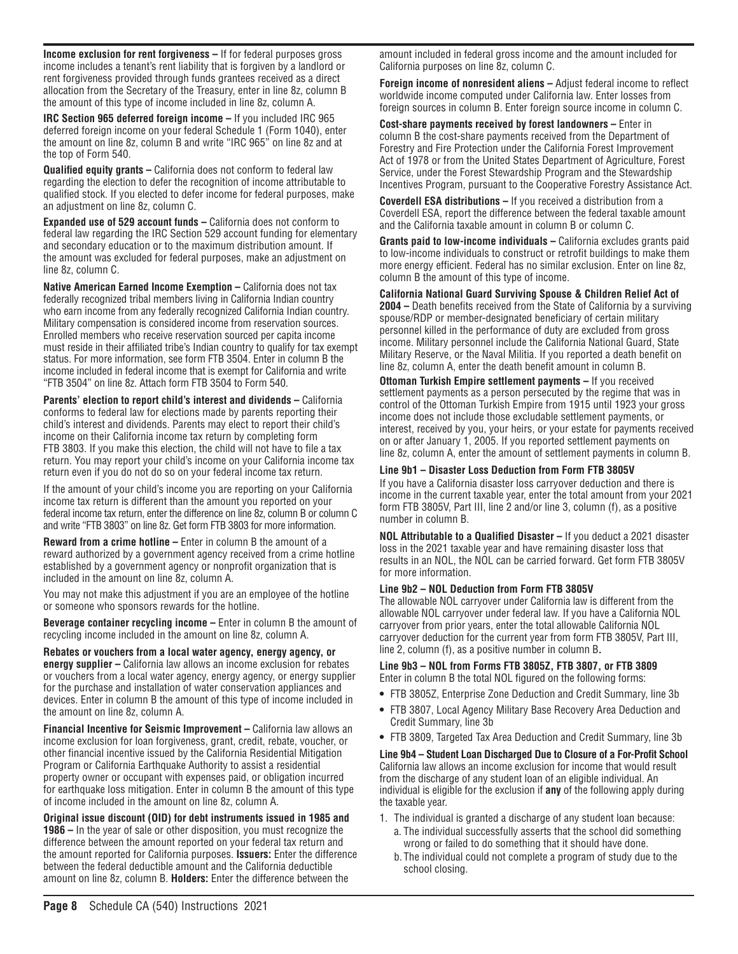**Income exclusion for rent forgiveness –** If for federal purposes gross income includes a tenant's rent liability that is forgiven by a landlord or rent forgiveness provided through funds grantees received as a direct allocation from the Secretary of the Treasury, enter in line 8z, column B the amount of this type of income included in line 8z, column A.

**IRC Section 965 deferred foreign income –** If you included IRC 965 deferred foreign income on your federal Schedule 1 (Form 1040), enter the amount on line 8z, column B and write "IRC 965" on line 8z and at the top of Form 540.

**Qualified equity grants –** California does not conform to federal law regarding the election to defer the recognition of income attributable to qualified stock. If you elected to defer income for federal purposes, make an adjustment on line 8z, column C.

**Expanded use of 529 account funds –** California does not conform to federal law regarding the IRC Section 529 account funding for elementary and secondary education or to the maximum distribution amount. If the amount was excluded for federal purposes, make an adjustment on line 8z, column C.

**Native American Earned Income Exemption – California does not tax** federally recognized tribal members living in California Indian country who earn income from any federally recognized California Indian country. Military compensation is considered income from reservation sources. Enrolled members who receive reservation sourced per capita income must reside in their affiliated tribe's Indian country to qualify for tax exempt status. For more information, see form FTB 3504. Enter in column B the income included in federal income that is exempt for California and write "FTB 3504" on line 8z. Attach form FTB 3504 to Form 540.

**Parents' election to report child's interest and dividends – California** conforms to federal law for elections made by parents reporting their child's interest and dividends. Parents may elect to report their child's income on their California income tax return by completing form FTB 3803. If you make this election, the child will not have to file a tax return. You may report your child's income on your California income tax return even if you do not do so on your federal income tax return.

If the amount of your child's income you are reporting on your California income tax return is different than the amount you reported on your federal income tax return, enter the difference on line 8z, column B or column C and write "FTB 3803" on line 8z. Get form FTB 3803 for more information.

**Reward from a crime hotline –** Enter in column B the amount of a reward authorized by a government agency received from a crime hotline established by a government agency or nonprofit organization that is included in the amount on line 8z, column A.

You may not make this adjustment if you are an employee of the hotline or someone who sponsors rewards for the hotline.

**Beverage container recycling income –** Enter in column B the amount of recycling income included in the amount on line 8z, column A.

**Rebates or vouchers from a local water agency, energy agency, or energy supplier –** California law allows an income exclusion for rebates or vouchers from a local water agency, energy agency, or energy supplier for the purchase and installation of water conservation appliances and devices. Enter in column B the amount of this type of income included in the amount on line 8z, column A.

**Financial Incentive for Seismic Improvement – California law allows an** income exclusion for loan forgiveness, grant, credit, rebate, voucher, or other financial incentive issued by the California Residential Mitigation Program or California Earthquake Authority to assist a residential property owner or occupant with expenses paid, or obligation incurred for earthquake loss mitigation. Enter in column B the amount of this type of income included in the amount on line 8z, column A.

**Original issue discount (OID) for debt instruments issued in 1985 and 1986 –** In the year of sale or other disposition, you must recognize the difference between the amount reported on your federal tax return and the amount reported for California purposes. **Issuers:** Enter the difference between the federal deductible amount and the California deductible amount on line 8z, column B. **Holders:** Enter the difference between the

amount included in federal gross income and the amount included for California purposes on line 8z, column C.

**Foreign income of nonresident aliens –** Adjust federal income to reflect worldwide income computed under California law. Enter losses from foreign sources in column B. Enter foreign source income in column C.

**Cost-share payments received by forest landowners –** Enter in column B the cost-share payments received from the Department of Forestry and Fire Protection under the California Forest Improvement Act of 1978 or from the United States Department of Agriculture, Forest Service, under the Forest Stewardship Program and the Stewardship Incentives Program, pursuant to the Cooperative Forestry Assistance Act.

**Coverdell ESA distributions –** If you received a distribution from a Coverdell ESA, report the difference between the federal taxable amount and the California taxable amount in column B or column C.

**Grants paid to low-income individuals –** California excludes grants paid to low-income individuals to construct or retrofit buildings to make them more energy efficient. Federal has no similar exclusion. Enter on line 8z, column B the amount of this type of income.

**California National Guard Surviving Spouse & Children Relief Act of 2004 –** Death benefits received from the State of California by a surviving spouse/RDP or member-designated beneficiary of certain military personnel killed in the performance of duty are excluded from gross income. Military personnel include the California National Guard, State Military Reserve, or the Naval Militia. If you reported a death benefit on line 8z, column A, enter the death benefit amount in column B.

**Ottoman Turkish Empire settlement payments – If you received** settlement payments as a person persecuted by the regime that was in control of the Ottoman Turkish Empire from 1915 until 1923 your gross income does not include those excludable settlement payments, or interest, received by you, your heirs, or your estate for payments received on or after January 1, 2005. If you reported settlement payments on line 8z, column A, enter the amount of settlement payments in column B.

#### **Line 9b1 – Disaster Loss Deduction from Form FTB 3805V**

If you have a California disaster loss carryover deduction and there is income in the current taxable year, enter the total amount from your 2021 form FTB 3805V, Part III, line 2 and/or line 3, column (f), as a positive number in column B.

**NOL Attributable to a Qualified Disaster –** If you deduct a 2021 disaster loss in the 2021 taxable year and have remaining disaster loss that results in an NOL, the NOL can be carried forward. Get form FTB 3805V for more information.

#### **Line 9b2 – NOL Deduction from Form FTB 3805V**

The allowable NOL carryover under California law is different from the allowable NOL carryover under federal law. If you have a California NOL carryover from prior years, enter the total allowable California NOL carryover deduction for the current year from form FTB 3805V, Part III, line 2, column (f), as a positive number in column B**.**

#### **Line 9b3 – NOL from Forms FTB 3805Z, FTB 3807, or FTB 3809** Enter in column B the total NOL figured on the following forms:

- **•** FTB 3805Z, Enterprise Zone Deduction and Credit Summary, line 3b
- **•** FTB 3807, Local Agency Military Base Recovery Area Deduction and Credit Summary, line 3b
- **•** FTB 3809, Targeted Tax Area Deduction and Credit Summary, line 3b

**Line 9b4 – Student Loan Discharged Due to Closure of a For-Profit School**  California law allows an income exclusion for income that would result from the discharge of any student loan of an eligible individual. An individual is eligible for the exclusion if **any** of the following apply during the taxable year.

- 1. The individual is granted a discharge of any student loan because:
	- a. The individual successfully asserts that the school did something wrong or failed to do something that it should have done.
	- b. The individual could not complete a program of study due to the school closing.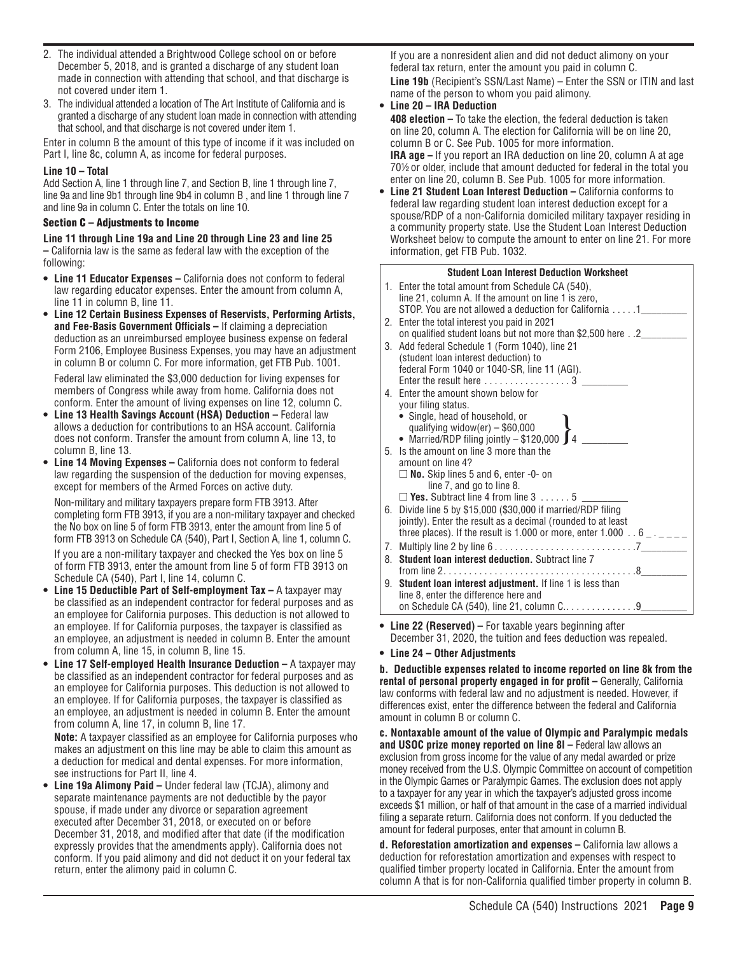- 2. The individual attended a Brightwood College school on or before December 5, 2018, and is granted a discharge of any student loan made in connection with attending that school, and that discharge is not covered under item 1.
- 3. The individual attended a location of The Art Institute of California and is granted a discharge of any student loan made in connection with attending that school, and that discharge is not covered under item 1.

Enter in column B the amount of this type of income if it was included on Part I, line 8c, column A, as income for federal purposes.

#### **Line 10 – Total**

Add Section A, line 1 through line 7, and Section B, line 1 through line 7, line 9a and line 9b1 through line 9b4 in column B , and line 1 through line 7 and line 9a in column C. Enter the totals on line 10.

#### Section C – Adjustments to Income

**Line 11 through Line 19a and Line 20 through Line 23 and line 25 –** California law is the same as federal law with the exception of the following:

- **• Line 11 Educator Expenses –** California does not conform to federal law regarding educator expenses. Enter the amount from column A, line 11 in column B, line 11.
- **• Line 12 Certain Business Expenses of Reservists, Performing Artists, and Fee-Basis Government Officials –** If claiming a depreciation deduction as an unreimbursed employee business expense on federal Form 2106, Employee Business Expenses, you may have an adjustment in column B or column C. For more information, get FTB Pub. 1001. Federal law eliminated the \$3,000 deduction for living expenses for

members of Congress while away from home. California does not conform. Enter the amount of living expenses on line 12, column C.

- **• Line 13 Health Savings Account (HSA) Deduction –** Federal law allows a deduction for contributions to an HSA account. California does not conform. Transfer the amount from column A, line 13, to column B, line 13.
- **• Line 14 Moving Expenses –** California does not conform to federal law regarding the suspension of the deduction for moving expenses, except for members of the Armed Forces on active duty.

Non-military and military taxpayers prepare form FTB 3913. After completing form FTB 3913, if you are a non-military taxpayer and checked the No box on line 5 of form FTB 3913, enter the amount from line 5 of form FTB 3913 on Schedule CA (540), Part I, Section A, line 1, column C. If you are a non-military taxpayer and checked the Yes box on line 5 of form FTB 3913, enter the amount from line 5 of form FTB 3913 on

- Schedule CA (540), Part I, line 14, column C. **• Line 15 Deductible Part of Self-employment Tax –** A taxpayer may be classified as an independent contractor for federal purposes and as an employee for California purposes. This deduction is not allowed to an employee. If for California purposes, the taxpayer is classified as an employee, an adjustment is needed in column B. Enter the amount from column A, line 15, in column B, line 15.
- **• Line 17 Self-employed Health Insurance Deduction –** A taxpayer may be classified as an independent contractor for federal purposes and as an employee for California purposes. This deduction is not allowed to an employee. If for California purposes, the taxpayer is classified as an employee, an adjustment is needed in column B. Enter the amount from column A, line 17, in column B, line 17.

 **Note:** A taxpayer classified as an employee for California purposes who makes an adjustment on this line may be able to claim this amount as a deduction for medical and dental expenses. For more information, see instructions for Part II, line 4.

**• Line 19a Alimony Paid –** Under federal law (TCJA), alimony and separate maintenance payments are not deductible by the payor spouse, if made under any divorce or separation agreement executed after December 31, 2018, or executed on or before December 31, 2018, and modified after that date (if the modification expressly provides that the amendments apply). California does not conform. If you paid alimony and did not deduct it on your federal tax return, enter the alimony paid in column C.

If you are a nonresident alien and did not deduct alimony on your federal tax return, enter the amount you paid in column C. **Line 19b** (Recipient's SSN/Last Name) – Enter the SSN or ITIN and last name of the person to whom you paid alimony.

# **• Line 20 – IRA Deduction**

 **408 election –** To take the election, the federal deduction is taken on line 20, column A. The election for California will be on line 20, column B or C. See Pub. 1005 for more information.  **IRA age –** If you report an IRA deduction on line 20, column A at age 70½or older, include that amount deducted for federal in the total you enter on line 20, column B. See Pub. 1005 for more information.

**• Line 21 Student Loan Interest Deduction –** California conforms to federal law regarding student loan interest deduction except for a spouse/RDP of a non-California domiciled military taxpayer residing in a community property state. Use the Student Loan Interest Deduction Worksheet below to compute the amount to enter on line 21. For more information, get FTB Pub. 1032.

|    | <b>Student Loan Interest Deduction Worksheet</b>                                                                             |  |  |  |  |  |
|----|------------------------------------------------------------------------------------------------------------------------------|--|--|--|--|--|
|    | 1. Enter the total amount from Schedule CA (540),                                                                            |  |  |  |  |  |
|    | line 21, column A. If the amount on line 1 is zero,                                                                          |  |  |  |  |  |
|    | STOP. You are not allowed a deduction for California 1                                                                       |  |  |  |  |  |
|    | 2. Enter the total interest you paid in 2021                                                                                 |  |  |  |  |  |
|    | on qualified student loans but not more than \$2,500 here2                                                                   |  |  |  |  |  |
| 3. | Add federal Schedule 1 (Form 1040), line 21                                                                                  |  |  |  |  |  |
|    | (student loan interest deduction) to<br>federal Form 1040 or 1040-SR, line 11 (AGI).                                         |  |  |  |  |  |
|    | Enter the result here  3                                                                                                     |  |  |  |  |  |
|    | 4. Enter the amount shown below for                                                                                          |  |  |  |  |  |
|    | your filing status.                                                                                                          |  |  |  |  |  |
|    | • Single, head of household, or                                                                                              |  |  |  |  |  |
|    | qualifying widow(er) $-$ \$60,000                                                                                            |  |  |  |  |  |
|    | • Married/RDP filing jointly $-$ \$120,000 $\int 4$ ______                                                                   |  |  |  |  |  |
|    | 5. Is the amount on line 3 more than the                                                                                     |  |  |  |  |  |
|    | amount on line 4?                                                                                                            |  |  |  |  |  |
|    | $\Box$ No. Skip lines 5 and 6, enter -0- on                                                                                  |  |  |  |  |  |
|    | line 7, and go to line 8.<br>$\Box$ Yes. Subtract line 4 from line 3  5                                                      |  |  |  |  |  |
|    |                                                                                                                              |  |  |  |  |  |
|    | 6. Divide line 5 by \$15,000 (\$30,000 if married/RDP filing<br>jointly). Enter the result as a decimal (rounded to at least |  |  |  |  |  |
|    | three places). If the result is 1.000 or more, enter 1.000 $\ldots$ 6 $\ldots$ $\ldots$                                      |  |  |  |  |  |
|    |                                                                                                                              |  |  |  |  |  |
| 8. | Student loan interest deduction. Subtract line 7                                                                             |  |  |  |  |  |
|    |                                                                                                                              |  |  |  |  |  |
|    | 9. Student loan interest adjustment. If line 1 is less than                                                                  |  |  |  |  |  |
|    | line 8, enter the difference here and                                                                                        |  |  |  |  |  |
|    | on Schedule CA (540), line 21, column C9                                                                                     |  |  |  |  |  |
|    |                                                                                                                              |  |  |  |  |  |

- **• Line 22 (Reserved) –** For taxable years beginning after December 31, 2020, the tuition and fees deduction was repealed.
- **• Line 24 – Other Adjustments**

**b. Deductible expenses related to income reported on line 8k from the**  rental of personal property engaged in for profit - Generally, California law conforms with federal law and no adjustment is needed. However, if differences exist, enter the difference between the federal and California amount in column B or column C.

**c. Nontaxable amount of the value of Olympic and Paralympic medals and USOC prize money reported on line 8l –** Federal law allows an exclusion from gross income for the value of any medal awarded or prize money received from the U.S. Olympic Committee on account of competition in the Olympic Games or Paralympic Games. The exclusion does not apply to a taxpayer for any year in which the taxpayer's adjusted gross income exceeds \$1 million, or half of that amount in the case of a married individual filing a separate return. California does not conform. If you deducted the amount for federal purposes, enter that amount in column B.

**d. Reforestation amortization and expenses –** California law allows a deduction for reforestation amortization and expenses with respect to qualified timber property located in California. Enter the amount from column A that is for non-California qualified timber property in column B.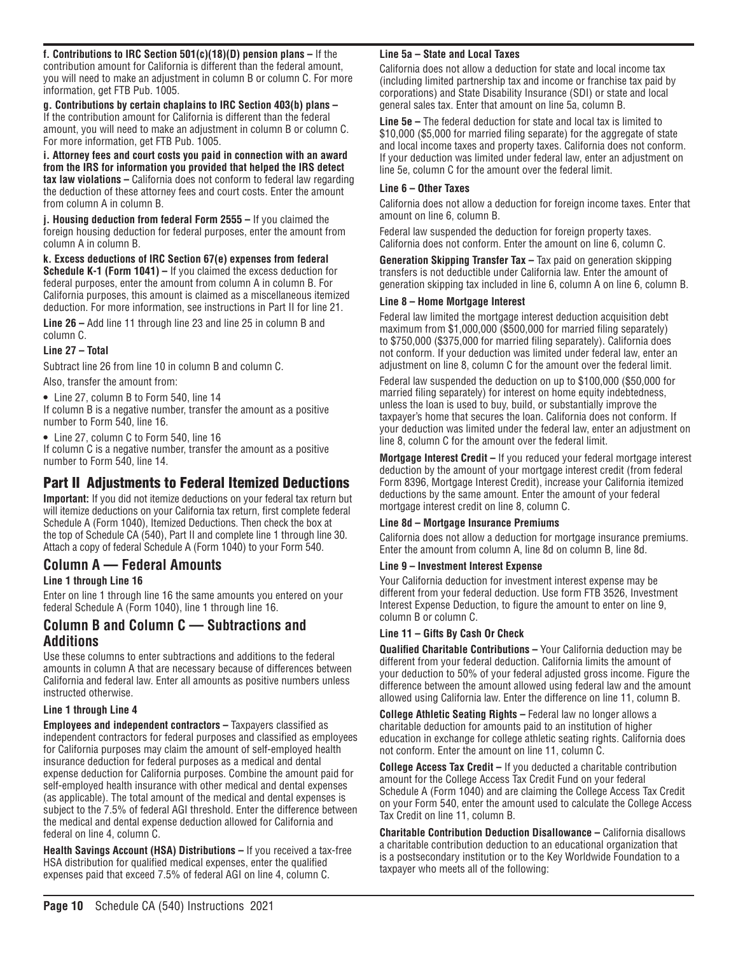**f. Contributions to IRC Section 501(c)(18)(D) pension plans –** If the contribution amount for California is different than the federal amount, you will need to make an adjustment in column B or column C. For more information, get FTB Pub. 1005.

**g. Contributions by certain chaplains to IRC Section 403(b) plans –** If the contribution amount for California is different than the federal amount, you will need to make an adjustment in column B or column C. For more information, get FTB Pub. 1005.

**i. Attorney fees and court costs you paid in connection with an award from the IRS for information you provided that helped the IRS detect tax law violations –** California does not conform to federal law regarding the deduction of these attorney fees and court costs. Enter the amount from column A in column B.

**j. Housing deduction from federal Form 2555 –** If you claimed the foreign housing deduction for federal purposes, enter the amount from column A in column B.

**k. Excess deductions of IRC Section 67(e) expenses from federal Schedule K-1 (Form 1041)** – If you claimed the excess deduction for federal purposes, enter the amount from column A in column B. For California purposes, this amount is claimed as a miscellaneous itemized deduction. For more information, see instructions in Part II for line 21.

**Line 26 –** Add line 11 through line 23 and line 25 in column B and column C.

**Line 27 – Total**

Subtract line 26 from line 10 in column B and column C.

Also, transfer the amount from:

**•** Line 27, column B to Form 540, line 14

If column B is a negative number, transfer the amount as a positive number to Form 540, line 16.

**•** Line 27, column C to Form 540, line 16

If column C is a negative number, transfer the amount as a positive number to Form 540, line 14.

# Part II Adjustments to Federal Itemized Deductions

**Important:** If you did not itemize deductions on your federal tax return but will itemize deductions on your California tax return, first complete federal Schedule A (Form 1040), Itemized Deductions. Then check the box at the top of Schedule CA (540), Part II and complete line 1 through line 30. Attach a copy of federal Schedule A (Form 1040) to your Form 540.

# **Column A** — **Federal Amounts**

#### **Line 1 through Line 16**

Enter on line 1 through line 16 the same amounts you entered on your federal Schedule A (Form 1040), line 1 through line 16.

# **Column B and Column C — Subtractions and Additions**

Use these columns to enter subtractions and additions to the federal amounts in column A that are necessary because of differences between California and federal law. Enter all amounts as positive numbers unless instructed otherwise.

#### **Line 1 through Line 4**

**Employees and independent contractors –** Taxpayers classified as independent contractors for federal purposes and classified as employees for California purposes may claim the amount of self-employed health insurance deduction for federal purposes as a medical and dental expense deduction for California purposes. Combine the amount paid for self-employed health insurance with other medical and dental expenses (as applicable). The total amount of the medical and dental expenses is subject to the 7.5% of federal AGI threshold. Enter the difference between the medical and dental expense deduction allowed for California and federal on line 4, column C.

**Health Savings Account (HSA) Distributions –** If you received a tax-free HSA distribution for qualified medical expenses, enter the qualified expenses paid that exceed 7.5% of federal AGI on line 4, column C.

#### **Line 5a – State and Local Taxes**

California does not allow a deduction for state and local income tax (including limited partnership tax and income or franchise tax paid by corporations) and State Disability Insurance (SDI) or state and local general sales tax. Enter that amount on line 5a, column B.

**Line 5e –** The federal deduction for state and local tax is limited to \$10,000 (\$5,000 for married filing separate) for the aggregate of state and local income taxes and property taxes. California does not conform. If your deduction was limited under federal law, enter an adjustment on line 5e, column C for the amount over the federal limit.

#### **Line 6 – Other Taxes**

California does not allow a deduction for foreign income taxes. Enter that amount on line 6, column B.

Federal law suspended the deduction for foreign property taxes. California does not conform. Enter the amount on line 6, column C.

**Generation Skipping Transfer Tax –** Tax paid on generation skipping transfers is not deductible under California law. Enter the amount of generation skipping tax included in line 6, column A on line 6, column B.

#### **Line 8 – Home Mortgage Interest**

Federal law limited the mortgage interest deduction acquisition debt maximum from \$1,000,000 (\$500,000 for married filing separately) to \$750,000 (\$375,000 for married filing separately). California does not conform. If your deduction was limited under federal law, enter an adjustment on line 8, column C for the amount over the federal limit.

Federal law suspended the deduction on up to \$100,000 (\$50,000 for married filing separately) for interest on home equity indebtedness, unless the loan is used to buy, build, or substantially improve the taxpayer's home that secures the loan. California does not conform. If your deduction was limited under the federal law, enter an adjustment on line 8, column C for the amount over the federal limit.

**Mortgage Interest Credit –** If you reduced your federal mortgage interest deduction by the amount of your mortgage interest credit (from federal Form 8396, Mortgage Interest Credit), increase your California itemized deductions by the same amount. Enter the amount of your federal mortgage interest credit on line 8, column C.

#### **Line 8d – Mortgage Insurance Premiums**

California does not allow a deduction for mortgage insurance premiums. Enter the amount from column A, line 8d on column B, line 8d.

#### **Line 9 – Investment Interest Expense**

Your California deduction for investment interest expense may be different from your federal deduction. Use form FTB 3526, Investment Interest Expense Deduction, to figure the amount to enter on line 9, column B or column C.

#### **Line 11 – Gifts By Cash Or Check**

**Qualified Charitable Contributions –** Your California deduction may be different from your federal deduction. California limits the amount of your deduction to 50% of your federal adjusted gross income. Figure the difference between the amount allowed using federal law and the amount allowed using California law. Enter the difference on line 11, column B.

**College Athletic Seating Rights - Federal law no longer allows a** charitable deduction for amounts paid to an institution of higher education in exchange for college athletic seating rights. California does not conform. Enter the amount on line 11, column C.

**College Access Tax Credit –** If you deducted a charitable contribution amount for the College Access Tax Credit Fund on your federal Schedule A (Form 1040) and are claiming the College Access Tax Credit on your Form 540, enter the amount used to calculate the College Access Tax Credit on line 11, column B.

**Charitable Contribution Deduction Disallowance –** California disallows a charitable contribution deduction to an educational organization that is a postsecondary institution or to the Key Worldwide Foundation to a taxpayer who meets all of the following: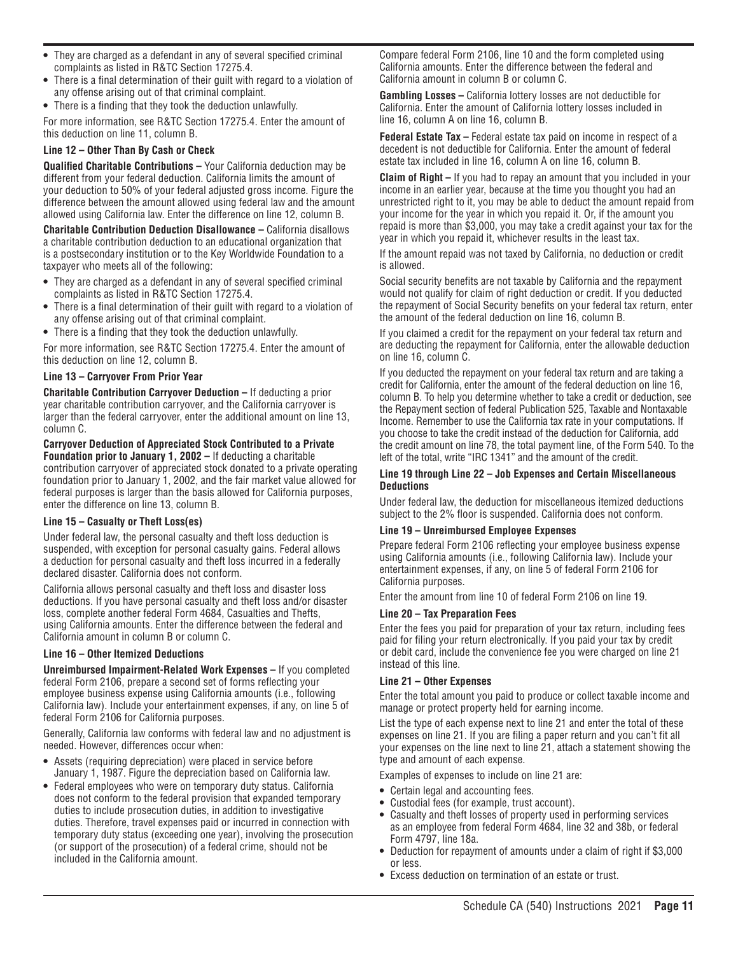- **•** They are charged as a defendant in any of several specified criminal complaints as listed in R&TC Section 17275.4.
- **•** There is a final determination of their guilt with regard to a violation of any offense arising out of that criminal complaint.
- **•** There is a finding that they took the deduction unlawfully.

For more information, see R&TC Section 17275.4. Enter the amount of this deduction on line 11, column B.

#### **Line 12 – Other Than By Cash or Check**

**Qualified Charitable Contributions –** Your California deduction may be different from your federal deduction. California limits the amount of your deduction to 50% of your federal adjusted gross income. Figure the difference between the amount allowed using federal law and the amount allowed using California law. Enter the difference on line 12, column B.

**Charitable Contribution Deduction Disallowance –** California disallows a charitable contribution deduction to an educational organization that is a postsecondary institution or to the Key Worldwide Foundation to a taxpayer who meets all of the following:

- **•** They are charged as a defendant in any of several specified criminal complaints as listed in R&TC Section 17275.4.
- **•** There is a final determination of their guilt with regard to a violation of any offense arising out of that criminal complaint.
- **•** There is a finding that they took the deduction unlawfully.

For more information, see R&TC Section 17275.4. Enter the amount of this deduction on line 12, column B.

#### **Line 13 – Carryover From Prior Year**

**Charitable Contribution Carryover Deduction –** If deducting a prior year charitable contribution carryover, and the California carryover is larger than the federal carryover, enter the additional amount on line 13, column C.

#### **Carryover Deduction of Appreciated Stock Contributed to a Private Foundation prior to January 1, 2002 –** If deducting a charitable

contribution carryover of appreciated stock donated to a private operating foundation prior to January 1, 2002, and the fair market value allowed for federal purposes is larger than the basis allowed for California purposes, enter the difference on line 13, column B.

#### **Line 15 – Casualty or Theft Loss(es)**

Under federal law, the personal casualty and theft loss deduction is suspended, with exception for personal casualty gains. Federal allows a deduction for personal casualty and theft loss incurred in a federally declared disaster. California does not conform.

California allows personal casualty and theft loss and disaster loss deductions. If you have personal casualty and theft loss and/or disaster loss, complete another federal Form 4684, Casualties and Thefts, using California amounts. Enter the difference between the federal and California amount in column B or column C.

#### **Line 16 – Other Itemized Deductions**

**Unreimbursed Impairment-Related Work Expenses –** If you completed federal Form 2106, prepare a second set of forms reflecting your employee business expense using California amounts (i.e., following California law). Include your entertainment expenses, if any, on line 5 of federal Form 2106 for California purposes.

Generally, California law conforms with federal law and no adjustment is needed. However, differences occur when:

- **•** Assets (requiring depreciation) were placed in service before January 1, 1987. Figure the depreciation based on California law.
- **•** Federal employees who were on temporary duty status. California does not conform to the federal provision that expanded temporary duties to include prosecution duties, in addition to investigative duties. Therefore, travel expenses paid or incurred in connection with temporary duty status (exceeding one year), involving the prosecution (or support of the prosecution) of a federal crime, should not be included in the California amount.

Compare federal Form 2106, line 10 and the form completed using California amounts. Enter the difference between the federal and California amount in column B or column C.

**Gambling Losses – California lottery losses are not deductible for** California. Enter the amount of California lottery losses included in line 16, column A on line 16, column B.

**Federal Estate Tax –** Federal estate tax paid on income in respect of a decedent is not deductible for California. Enter the amount of federal estate tax included in line 16, column A on line 16, column B.

**Claim of Right –** If you had to repay an amount that you included in your income in an earlier year, because at the time you thought you had an unrestricted right to it, you may be able to deduct the amount repaid from your income for the year in which you repaid it. Or, if the amount you repaid is more than \$3,000, you may take a credit against your tax for the year in which you repaid it, whichever results in the least tax.

If the amount repaid was not taxed by California, no deduction or credit is allowed.

Social security benefits are not taxable by California and the repayment would not qualify for claim of right deduction or credit. If you deducted the repayment of Social Security benefits on your federal tax return, enter the amount of the federal deduction on line 16, column B.

If you claimed a credit for the repayment on your federal tax return and are deducting the repayment for California, enter the allowable deduction on line 16, column C.

If you deducted the repayment on your federal tax return and are taking a credit for California, enter the amount of the federal deduction on line 16, column B. To help you determine whether to take a credit or deduction, see the Repayment section of federal Publication 525, Taxable and Nontaxable Income. Remember to use the California tax rate in your computations. If you choose to take the credit instead of the deduction for California, add the credit amount on line 78, the total payment line, of the Form 540. To the left of the total, write "IRC 1341" and the amount of the credit.

#### **Line 19 through Line 22 – Job Expenses and Certain Miscellaneous Deductions**

Under federal law, the deduction for miscellaneous itemized deductions subject to the 2% floor is suspended. California does not conform.

#### **Line 19 – Unreimbursed Employee Expenses**

Prepare federal Form 2106 reflecting your employee business expense using California amounts (i.e., following California law). Include your entertainment expenses, if any, on line 5 of federal Form 2106 for California purposes.

Enter the amount from line 10 of federal Form 2106 on line 19.

#### **Line 20 – Tax Preparation Fees**

Enter the fees you paid for preparation of your tax return, including fees paid for filing your return electronically. If you paid your tax by credit or debit card, include the convenience fee you were charged on line 21 instead of this line.

#### **Line 21 – Other Expenses**

Enter the total amount you paid to produce or collect taxable income and manage or protect property held for earning income.

List the type of each expense next to line 21 and enter the total of these expenses on line 21. If you are filing a paper return and you can't fit all your expenses on the line next to line 21, attach a statement showing the type and amount of each expense.

Examples of expenses to include on line 21 are:

- **•** Certain legal and accounting fees.
- **•** Custodial fees (for example, trust account).
- **•** Casualty and theft losses of property used in performing services as an employee from federal Form 4684, line 32 and 38b, or federal Form 4797, line 18a.
- **•** Deduction for repayment of amounts under a claim of right if \$3,000 or less.
- **•** Excess deduction on termination of an estate or trust.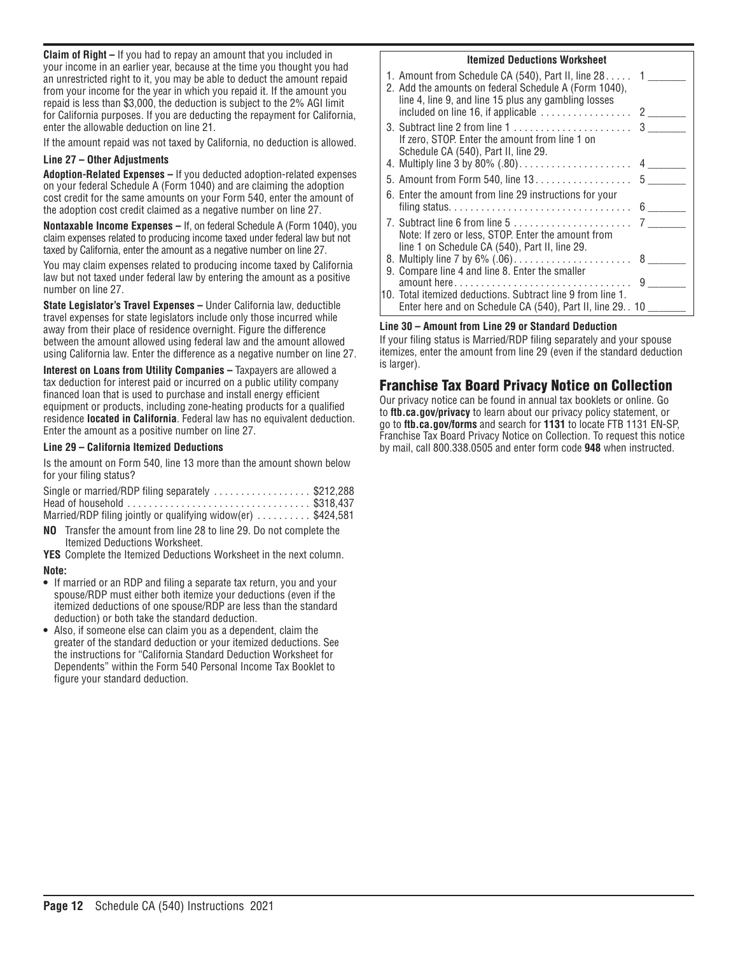**Claim of Right –** If you had to repay an amount that you included in your income in an earlier year, because at the time you thought you had an unrestricted right to it, you may be able to deduct the amount repaid from your income for the year in which you repaid it. If the amount you repaid is less than \$3,000, the deduction is subject to the 2% AGI limit for California purposes. If you are deducting the repayment for California, enter the allowable deduction on line 21.

If the amount repaid was not taxed by California, no deduction is allowed.

#### **Line 27 – Other Adjustments**

**Adoption-Related Expenses –** If you deducted adoption-related expenses on your federal Schedule A (Form 1040) and are claiming the adoption cost credit for the same amounts on your Form 540, enter the amount of the adoption cost credit claimed as a negative number on line 27.

**Nontaxable Income Expenses –** If, on federal Schedule A (Form 1040), you claim expenses related to producing income taxed under federal law but not taxed by California, enter the amount as a negative number on line 27.

You may claim expenses related to producing income taxed by California law but not taxed under federal law by entering the amount as a positive number on line 27.

**State Legislator's Travel Expenses –** Under California law, deductible travel expenses for state legislators include only those incurred while away from their place of residence overnight. Figure the difference between the amount allowed using federal law and the amount allowed using California law. Enter the difference as a negative number on line 27.

**Interest on Loans from Utility Companies –** Taxpayers are allowed a tax deduction for interest paid or incurred on a public utility company financed loan that is used to purchase and install energy efficient equipment or products, including zone-heating products for a qualified residence **located in California**. Federal law has no equivalent deduction. Enter the amount as a positive number on line 27.

#### **Line 29 – California Itemized Deductions**

Is the amount on Form 540, line 13 more than the amount shown below for your filing status?

| Single or married/RDP filing separately \$212,288             |  |
|---------------------------------------------------------------|--|
|                                                               |  |
| Married/RDP filing jointly or qualifying widow(er)  \$424,581 |  |

**NO** Transfer the amount from line 28 to line 29. Do not complete the Itemized Deductions Worksheet.

**YES** Complete the Itemized Deductions Worksheet in the next column.

#### **Note:**

- **•** If married or an RDP and filing a separate tax return, you and your spouse/RDP must either both itemize your deductions (even if the itemized deductions of one spouse/RDP are less than the standard deduction) or both take the standard deduction.
- **•** Also, if someone else can claim you as a dependent, claim the greater of the standard deduction or your itemized deductions. See the instructions for "California Standard Deduction Worksheet for Dependents" within the Form 540 Personal Income Tax Booklet to figure your standard deduction.

#### **Itemized Deductions Worksheet**

| 1. Amount from Schedule CA (540), Part II, line $281$ 1<br>2. Add the amounts on federal Schedule A (Form 1040),<br>line 4, line 9, and line 15 plus any gambling losses<br>included on line 16, if applicable $\dots\dots\dots\dots\dots$ 2 |  |
|----------------------------------------------------------------------------------------------------------------------------------------------------------------------------------------------------------------------------------------------|--|
| If zero, STOP. Enter the amount from line 1 on<br>Schedule CA (540), Part II, line 29.                                                                                                                                                       |  |
|                                                                                                                                                                                                                                              |  |
| 5. Amount from Form 540, line 13. 5                                                                                                                                                                                                          |  |
| 6. Enter the amount from line 29 instructions for your                                                                                                                                                                                       |  |
|                                                                                                                                                                                                                                              |  |
| Note: If zero or less, STOP. Enter the amount from<br>line 1 on Schedule CA (540), Part II, line 29.                                                                                                                                         |  |
|                                                                                                                                                                                                                                              |  |
| 9. Compare line 4 and line 8. Enter the smaller                                                                                                                                                                                              |  |
|                                                                                                                                                                                                                                              |  |
| 10. Total itemized deductions. Subtract line 9 from line 1.                                                                                                                                                                                  |  |
| Enter here and on Schedule CA (540), Part II, line 29. . 10                                                                                                                                                                                  |  |

#### **Line 30 – Amount from Line 29 or Standard Deduction**

If your filing status is Married/RDP filing separately and your spouse itemizes, enter the amount from line 29 (even if the standard deduction is larger).

# Franchise Tax Board Privacy Notice on Collection

Our privacy notice can be found in annual tax booklets or online. Go to **ftb.ca.gov/privacy** to learn about our privacy policy statement, or go to **ftb.ca.gov/forms** and search for **1131** to locate FTB 1131 EN-SP, Franchise Tax Board Privacy Notice on Collection. To request this notice by mail, call 800.338.0505 and enter form code **948** when instructed.